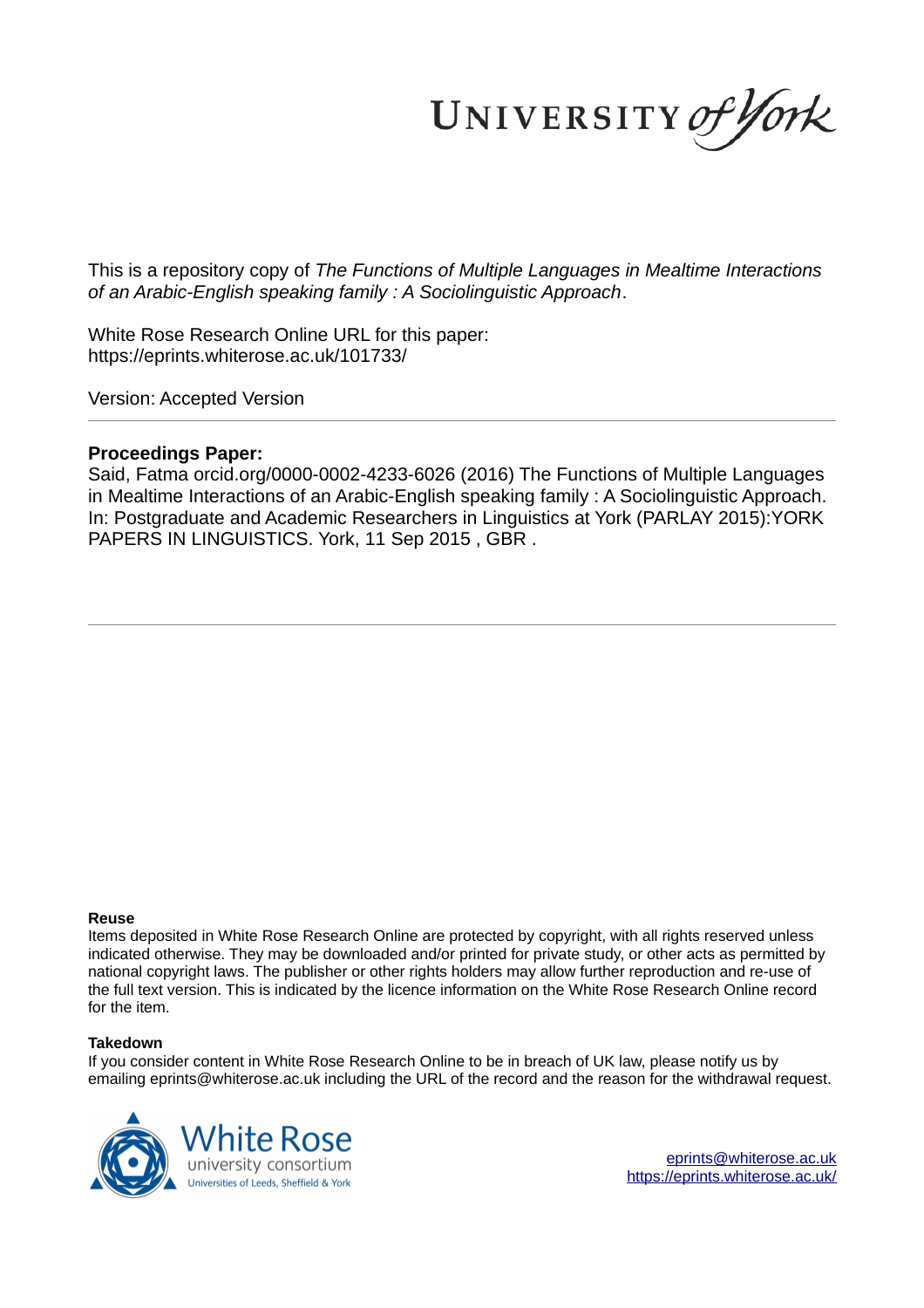UNIVERSITY of York

This is a repository copy of *The Functions of Multiple Languages in Mealtime Interactions of an Arabic-English speaking family : A Sociolinguistic Approach*.

White Rose Research Online URL for this paper: https://eprints.whiterose.ac.uk/101733/

Version: Accepted Version

### **Proceedings Paper:**

Said, Fatma orcid.org/0000-0002-4233-6026 (2016) The Functions of Multiple Languages in Mealtime Interactions of an Arabic-English speaking family : A Sociolinguistic Approach. In: Postgraduate and Academic Researchers in Linguistics at York (PARLAY 2015):YORK PAPERS IN LINGUISTICS. York, 11 Sep 2015 , GBR .

#### **Reuse**

Items deposited in White Rose Research Online are protected by copyright, with all rights reserved unless indicated otherwise. They may be downloaded and/or printed for private study, or other acts as permitted by national copyright laws. The publisher or other rights holders may allow further reproduction and re-use of the full text version. This is indicated by the licence information on the White Rose Research Online record for the item.

#### **Takedown**

If you consider content in White Rose Research Online to be in breach of UK law, please notify us by emailing eprints@whiterose.ac.uk including the URL of the record and the reason for the withdrawal request.



eprints@whiterose.ac.uk https://eprints.whiterose.ac.uk/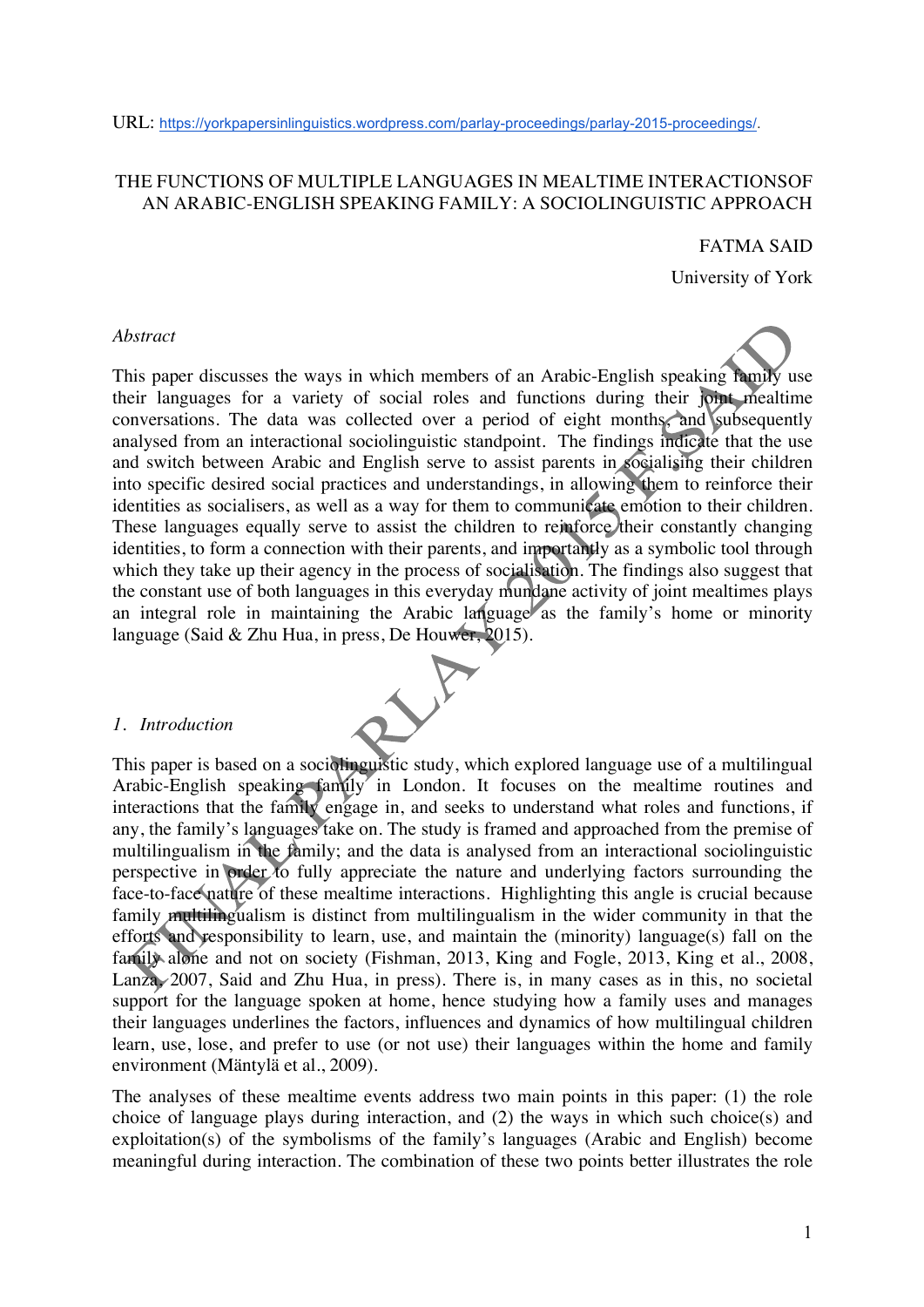## THE FUNCTIONS OF MULTIPLE LANGUAGES IN MEALTIME INTERACTIONSOF AN ARABIC-ENGLISH SPEAKING FAMILY: A SOCIOLINGUISTIC APPROACH

#### FATMA SAID

University of York

#### *Abstract*

This paper discusses the ways in which members of an Arabic-English speaking family use their languages for a variety of social roles and functions during their joint mealtime conversations. The data was collected over a period of eight months, and subsequently analysed from an interactional sociolinguistic standpoint. The findings indicate that the use and switch between Arabic and English serve to assist parents in socialising their children into specific desired social practices and understandings, in allowing them to reinforce their identities as socialisers, as well as a way for them to communicate emotion to their children. These languages equally serve to assist the children to reinforce their constantly changing identities, to form a connection with their parents, and importantly as a symbolic tool through which they take up their agency in the process of socialisation. The findings also suggest that the constant use of both languages in this everyday mundane activity of joint mealtimes plays an integral role in maintaining the Arabic language as the family's home or minority language (Said & Zhu Hua, in press, De Houwer, 2015).

#### *1. Introduction*

This paper is based on a sociolinguistic study, which explored language use of a multilingual Arabic-English speaking family in London. It focuses on the mealtime routines and interactions that the family engage in, and seeks to understand what roles and functions, if any, the family's languages take on. The study is framed and approached from the premise of multilingualism in the family; and the data is analysed from an interactional sociolinguistic perspective in order to fully appreciate the nature and underlying factors surrounding the face-to-face nature of these mealtime interactions. Highlighting this angle is crucial because family multilingualism is distinct from multilingualism in the wider community in that the efforts and responsibility to learn, use, and maintain the (minority) language(s) fall on the family alone and not on society (Fishman, 2013, King and Fogle, 2013, King et al., 2008, Lanza, 2007, Said and Zhu Hua, in press). There is, in many cases as in this, no societal support for the language spoken at home, hence studying how a family uses and manages their languages underlines the factors, influences and dynamics of how multilingual children learn, use, lose, and prefer to use (or not use) their languages within the home and family environment (Mäntylä et al., 2009).

The analyses of these mealtime events address two main points in this paper: (1) the role choice of language plays during interaction, and (2) the ways in which such choice(s) and exploitation(s) of the symbolisms of the family's languages (Arabic and English) become meaningful during interaction. The combination of these two points better illustrates the role

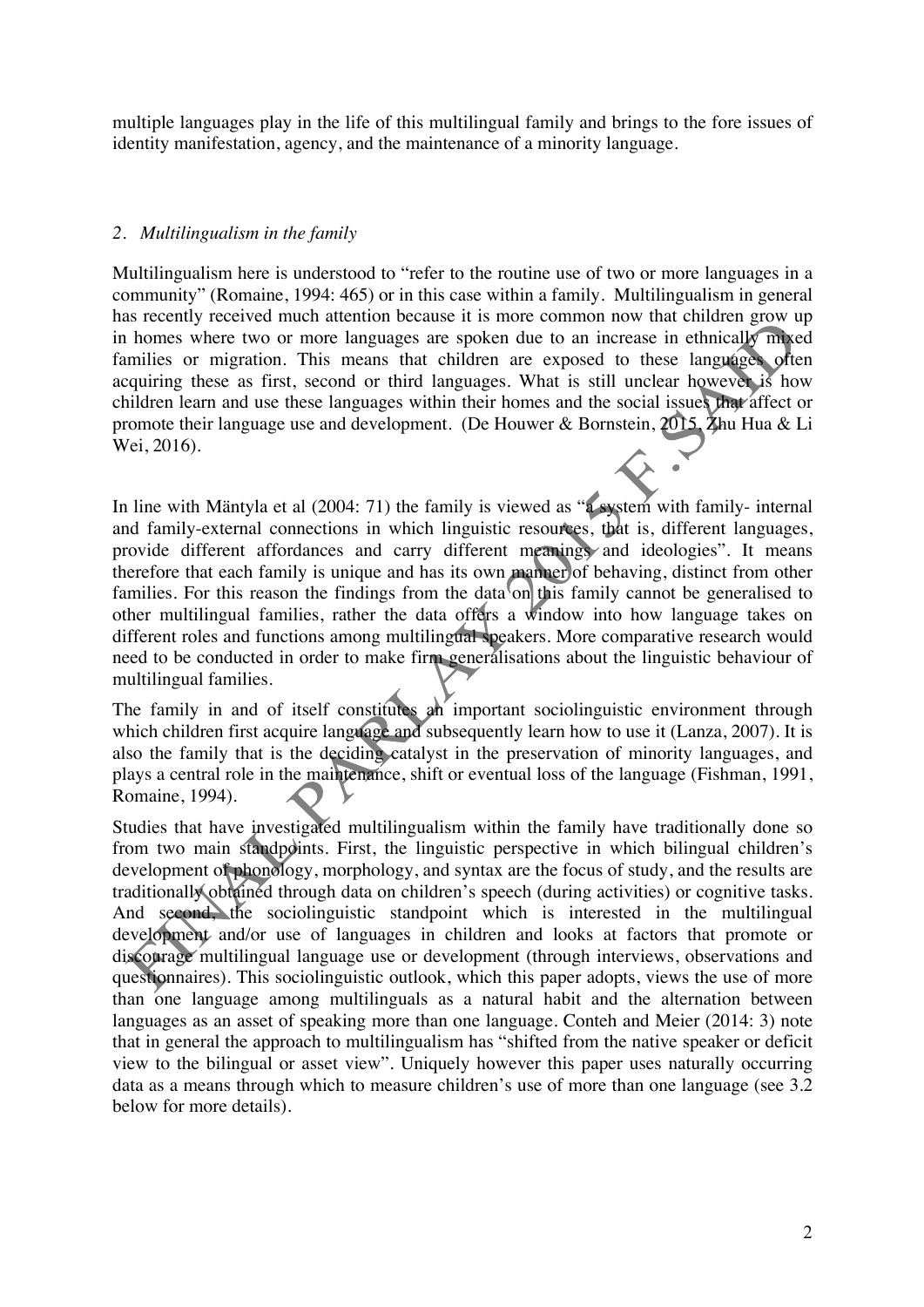multiple languages play in the life of this multilingual family and brings to the fore issues of identity manifestation, agency, and the maintenance of a minority language.

## *2. Multilingualism in the family*

Multilingualism here is understood to "refer to the routine use of two or more languages in a community" (Romaine, 1994: 465) or in this case within a family. Multilingualism in general has recently received much attention because it is more common now that children grow up in homes where two or more languages are spoken due to an increase in ethnically mixed families or migration. This means that children are exposed to these languages often acquiring these as first, second or third languages. What is still unclear however is how children learn and use these languages within their homes and the social issues that affect or promote their language use and development. (De Houwer & Bornstein, 2015, Zhu Hua & Li Wei, 2016).

In line with Mäntyla et al (2004: 71) the family is viewed as "a system with family- internal and family-external connections in which linguistic resources, that is, different languages, provide different affordances and carry different meanings and ideologies". It means therefore that each family is unique and has its own manner of behaving, distinct from other families. For this reason the findings from the data on this family cannot be generalised to other multilingual families, rather the data offers a window into how language takes on different roles and functions among multilingual speakers. More comparative research would need to be conducted in order to make firm generalisations about the linguistic behaviour of multilingual families.

The family in and of itself constitutes an important sociolinguistic environment through which children first acquire language and subsequently learn how to use it (Lanza, 2007). It is also the family that is the deciding catalyst in the preservation of minority languages, and plays a central role in the maintenance, shift or eventual loss of the language (Fishman, 1991, Romaine, 1994).

Studies that have investigated multilingualism within the family have traditionally done so from two main standpoints. First, the linguistic perspective in which bilingual children's development of phonology, morphology, and syntax are the focus of study, and the results are traditionally obtained through data on children's speech (during activities) or cognitive tasks. And second, the sociolinguistic standpoint which is interested in the multilingual development and/or use of languages in children and looks at factors that promote or discourage multilingual language use or development (through interviews, observations and questionnaires). This sociolinguistic outlook, which this paper adopts, views the use of more than one language among multilinguals as a natural habit and the alternation between languages as an asset of speaking more than one language. Conteh and Meier (2014: 3) note that in general the approach to multilingualism has "shifted from the native speaker or deficit view to the bilingual or asset view". Uniquely however this paper uses naturally occurring data as a means through which to measure children's use of more than one language (see 3.2 below for more details).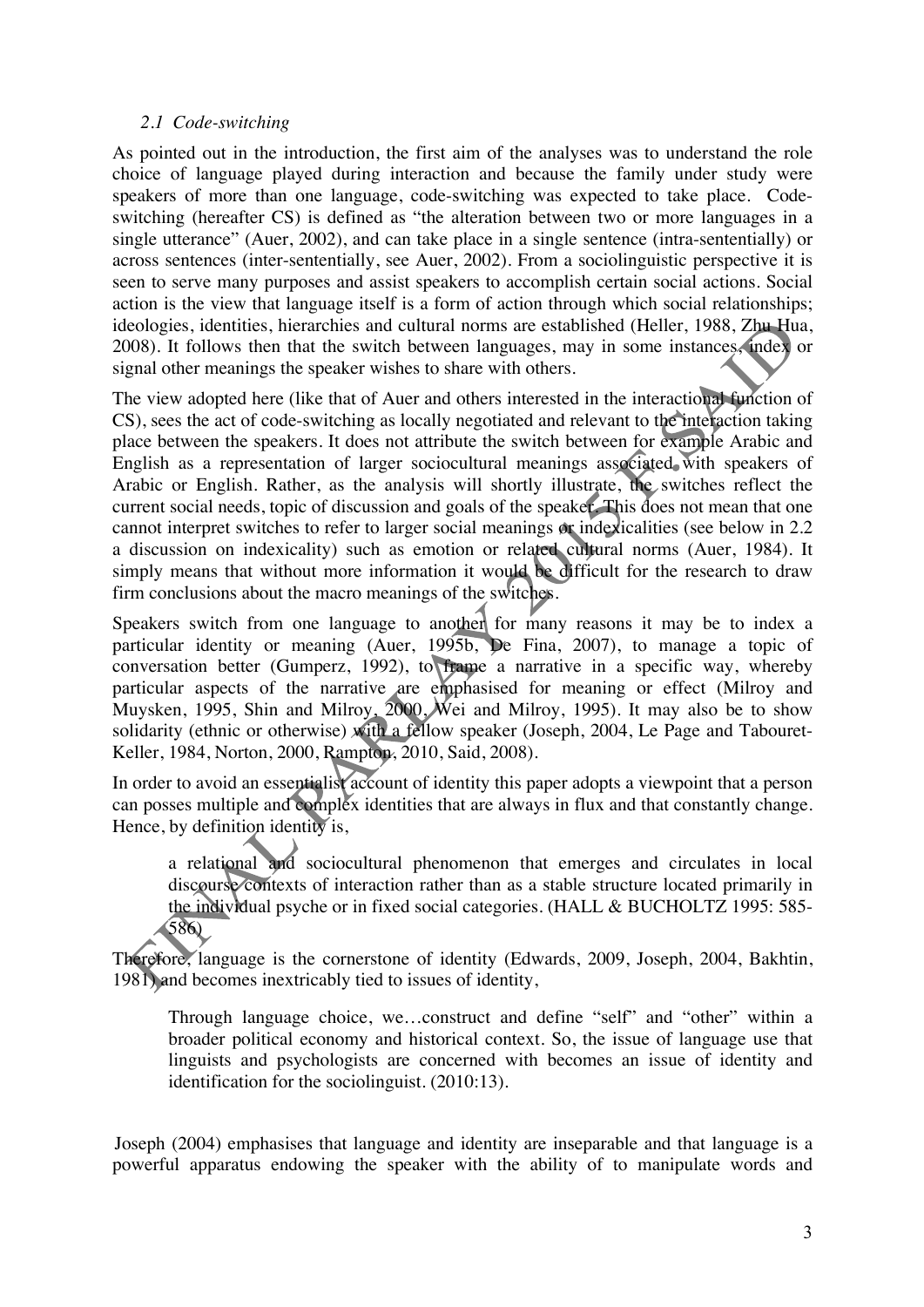## *2.1 Code-switching*

As pointed out in the introduction, the first aim of the analyses was to understand the role choice of language played during interaction and because the family under study were speakers of more than one language, code-switching was expected to take place. Codeswitching (hereafter CS) is defined as "the alteration between two or more languages in a single utterance" (Auer, 2002), and can take place in a single sentence (intra-sententially) or across sentences (inter-sententially, see Auer, 2002). From a sociolinguistic perspective it is seen to serve many purposes and assist speakers to accomplish certain social actions. Social action is the view that language itself is a form of action through which social relationships; ideologies, identities, hierarchies and cultural norms are established (Heller, 1988, Zhu Hua, 2008). It follows then that the switch between languages, may in some instances, index or signal other meanings the speaker wishes to share with others.

The view adopted here (like that of Auer and others interested in the interactional function of CS), sees the act of code-switching as locally negotiated and relevant to the interaction taking place between the speakers. It does not attribute the switch between for example Arabic and English as a representation of larger sociocultural meanings associated with speakers of Arabic or English. Rather, as the analysis will shortly illustrate, the switches reflect the current social needs, topic of discussion and goals of the speaker. This does not mean that one cannot interpret switches to refer to larger social meanings or indexicalities (see below in 2.2 a discussion on indexicality) such as emotion or related cultural norms (Auer, 1984). It simply means that without more information it would be difficult for the research to draw firm conclusions about the macro meanings of the switches.

Speakers switch from one language to another for many reasons it may be to index a particular identity or meaning (Auer, 1995b, De Fina, 2007), to manage a topic of conversation better (Gumperz, 1992), to frame a narrative in a specific way, whereby particular aspects of the narrative are emphasised for meaning or effect (Milroy and Muysken, 1995, Shin and Milroy, 2000, Wei and Milroy, 1995). It may also be to show solidarity (ethnic or otherwise) with a fellow speaker (Joseph, 2004, Le Page and Tabouret-Keller, 1984, Norton, 2000, Rampton, 2010, Said, 2008).

In order to avoid an essentialist account of identity this paper adopts a viewpoint that a person can posses multiple and complex identities that are always in flux and that constantly change. Hence, by definition identity is,

a relational and sociocultural phenomenon that emerges and circulates in local discourse contexts of interaction rather than as a stable structure located primarily in the individual psyche or in fixed social categories. (HALL & BUCHOLTZ 1995: 585- 586)

Therefore, language is the cornerstone of identity (Edwards, 2009, Joseph, 2004, Bakhtin, 1981) and becomes inextricably tied to issues of identity,

Through language choice, we…construct and define "self" and "other" within a broader political economy and historical context. So, the issue of language use that linguists and psychologists are concerned with becomes an issue of identity and identification for the sociolinguist. (2010:13).

 Joseph (2004) emphasises that language and identity are inseparable and that language is a powerful apparatus endowing the speaker with the ability of to manipulate words and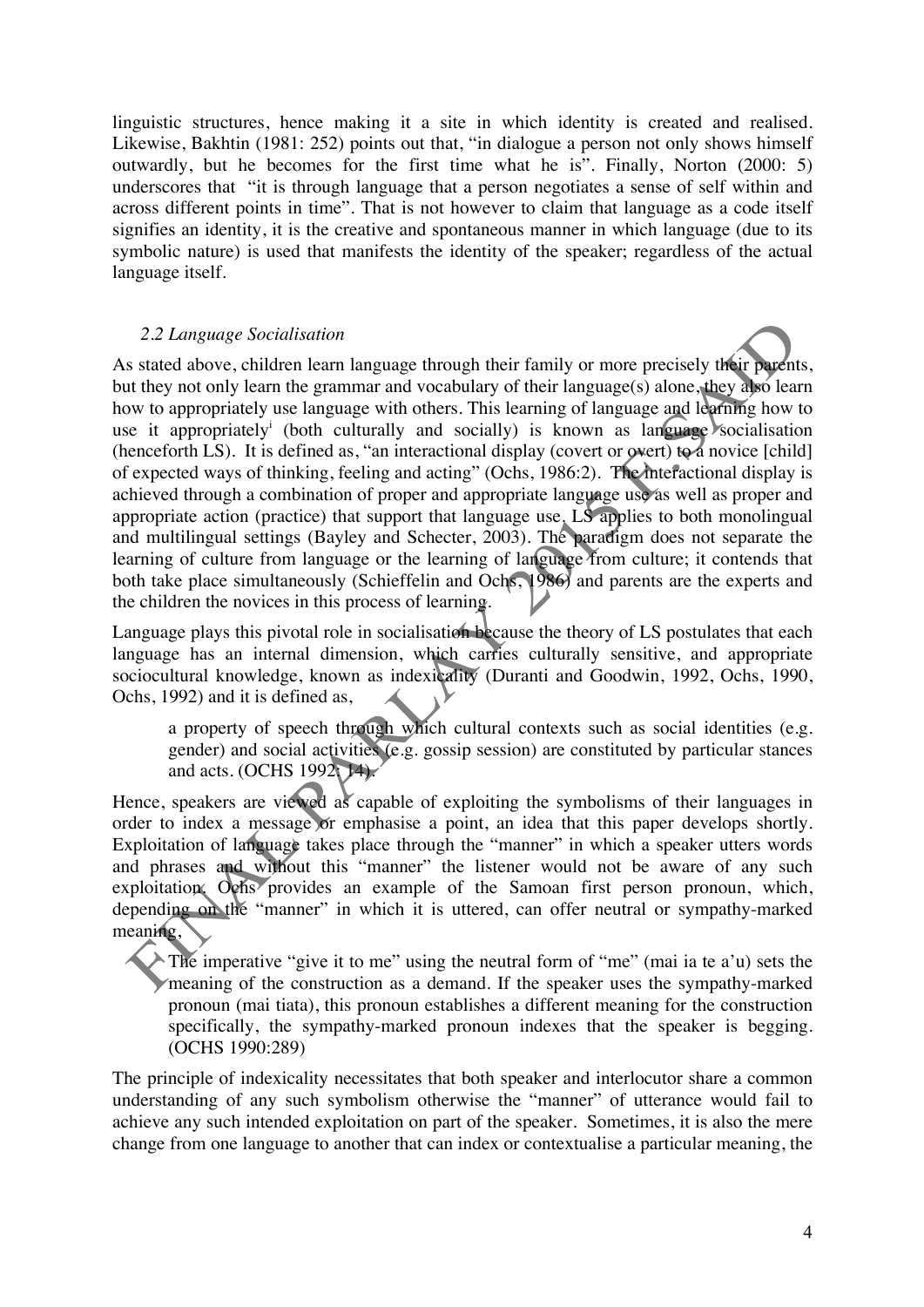linguistic structures, hence making it a site in which identity is created and realised. Likewise, Bakhtin (1981: 252) points out that, "in dialogue a person not only shows himself outwardly, but he becomes for the first time what he is". Finally, Norton (2000: 5) underscores that "it is through language that a person negotiates a sense of self within and across different points in time". That is not however to claim that language as a code itself signifies an identity, it is the creative and spontaneous manner in which language (due to its symbolic nature) is used that manifests the identity of the speaker; regardless of the actual language itself.

## *2.2 Language Socialisation*

As stated above, children learn language through their family or more precisely their parents, but they not only learn the grammar and vocabulary of their language(s) alone, they also learn how to appropriately use language with others. This learning of language and learning how to use it appropriately<sup>i</sup> (both culturally and socially) is known as language socialisation (henceforth LS). It is defined as, "an interactional display (covert or overt) to a novice [child] of expected ways of thinking, feeling and acting" (Ochs, 1986:2). The interactional display is achieved through a combination of proper and appropriate language use as well as proper and appropriate action (practice) that support that language use. LS applies to both monolingual and multilingual settings (Bayley and Schecter, 2003). The paradigm does not separate the learning of culture from language or the learning of language from culture; it contends that both take place simultaneously (Schieffelin and Ochs, 1986) and parents are the experts and the children the novices in this process of learning.

Language plays this pivotal role in socialisation because the theory of LS postulates that each language has an internal dimension, which carries culturally sensitive, and appropriate sociocultural knowledge, known as indexicality (Duranti and Goodwin, 1992, Ochs, 1990, Ochs, 1992) and it is defined as,

a property of speech through which cultural contexts such as social identities (e.g. gender) and social activities (e.g. gossip session) are constituted by particular stances and acts. (OCHS 1992; 14).

Hence, speakers are viewed as capable of exploiting the symbolisms of their languages in order to index a message or emphasise a point, an idea that this paper develops shortly. Exploitation of language takes place through the "manner" in which a speaker utters words and phrases and without this "manner" the listener would not be aware of any such exploitation. Ochs provides an example of the Samoan first person pronoun, which, depending on the "manner" in which it is uttered, can offer neutral or sympathy-marked meaning,

The imperative "give it to me" using the neutral form of "me" (mai ia te a'u) sets the meaning of the construction as a demand. If the speaker uses the sympathy-marked pronoun (mai tiata), this pronoun establishes a different meaning for the construction specifically, the sympathy-marked pronoun indexes that the speaker is begging. (OCHS 1990:289)

The principle of indexicality necessitates that both speaker and interlocutor share a common understanding of any such symbolism otherwise the "manner" of utterance would fail to achieve any such intended exploitation on part of the speaker. Sometimes, it is also the mere change from one language to another that can index or contextualise a particular meaning, the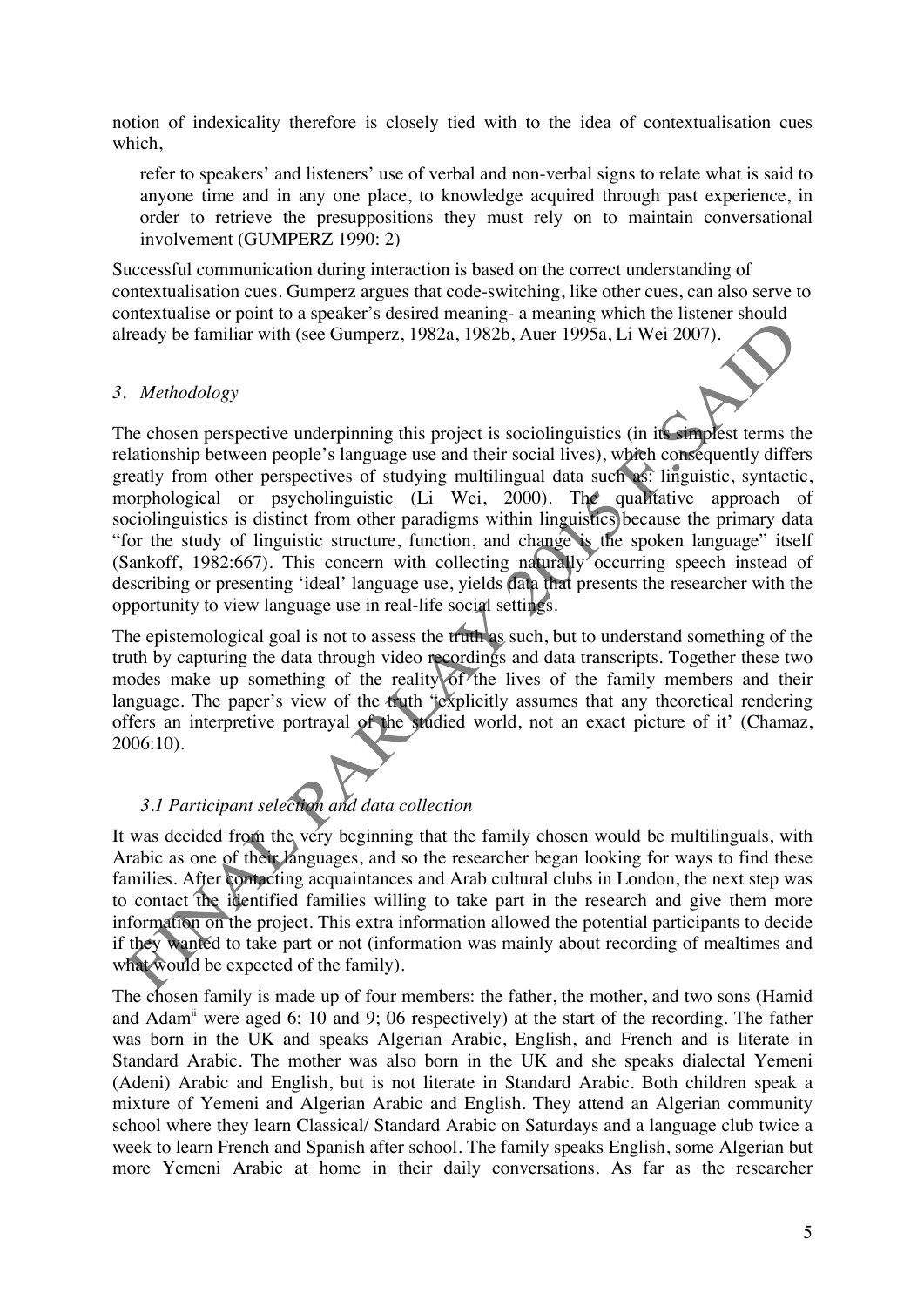notion of indexicality therefore is closely tied with to the idea of contextualisation cues which,

refer to speakers' and listeners' use of verbal and non-verbal signs to relate what is said to anyone time and in any one place, to knowledge acquired through past experience, in order to retrieve the presuppositions they must rely on to maintain conversational involvement (GUMPERZ 1990: 2)

Successful communication during interaction is based on the correct understanding of contextualisation cues. Gumperz argues that code-switching, like other cues, can also serve to contextualise or point to a speaker's desired meaning- a meaning which the listener should already be familiar with (see Gumperz, 1982a, 1982b, Auer 1995a, Li Wei 2007).

## *3. Methodology*

The chosen perspective underpinning this project is sociolinguistics (in its simplest terms the relationship between people's language use and their social lives), which consequently differs greatly from other perspectives of studying multilingual data such as: linguistic, syntactic, morphological or psycholinguistic (Li Wei, 2000). The qualitative approach of sociolinguistics is distinct from other paradigms within linguistics because the primary data "for the study of linguistic structure, function, and change is the spoken language" itself (Sankoff, 1982:667). This concern with collecting naturally occurring speech instead of describing or presenting 'ideal' language use, yields data that presents the researcher with the opportunity to view language use in real-life social settings.

The epistemological goal is not to assess the truth as such, but to understand something of the truth by capturing the data through video recordings and data transcripts. Together these two modes make up something of the reality of the lives of the family members and their language. The paper's view of the truth "explicitly assumes that any theoretical rendering offers an interpretive portrayal of the studied world, not an exact picture of it' (Chamaz, 2006:10).

# *3.1 Participant selection and data collection*

It was decided from the very beginning that the family chosen would be multilinguals, with Arabic as one of their languages, and so the researcher began looking for ways to find these families. After contacting acquaintances and Arab cultural clubs in London, the next step was to contact the identified families willing to take part in the research and give them more information on the project. This extra information allowed the potential participants to decide if they wanted to take part or not (information was mainly about recording of mealtimes and what would be expected of the family).

The chosen family is made up of four members: the father, the mother, and two sons (Hamid and Adam<sup>ii</sup> were aged 6; 10 and 9; 06 respectively) at the start of the recording. The father was born in the UK and speaks Algerian Arabic, English, and French and is literate in Standard Arabic. The mother was also born in the UK and she speaks dialectal Yemeni (Adeni) Arabic and English, but is not literate in Standard Arabic. Both children speak a mixture of Yemeni and Algerian Arabic and English. They attend an Algerian community school where they learn Classical/ Standard Arabic on Saturdays and a language club twice a week to learn French and Spanish after school. The family speaks English, some Algerian but more Yemeni Arabic at home in their daily conversations. As far as the researcher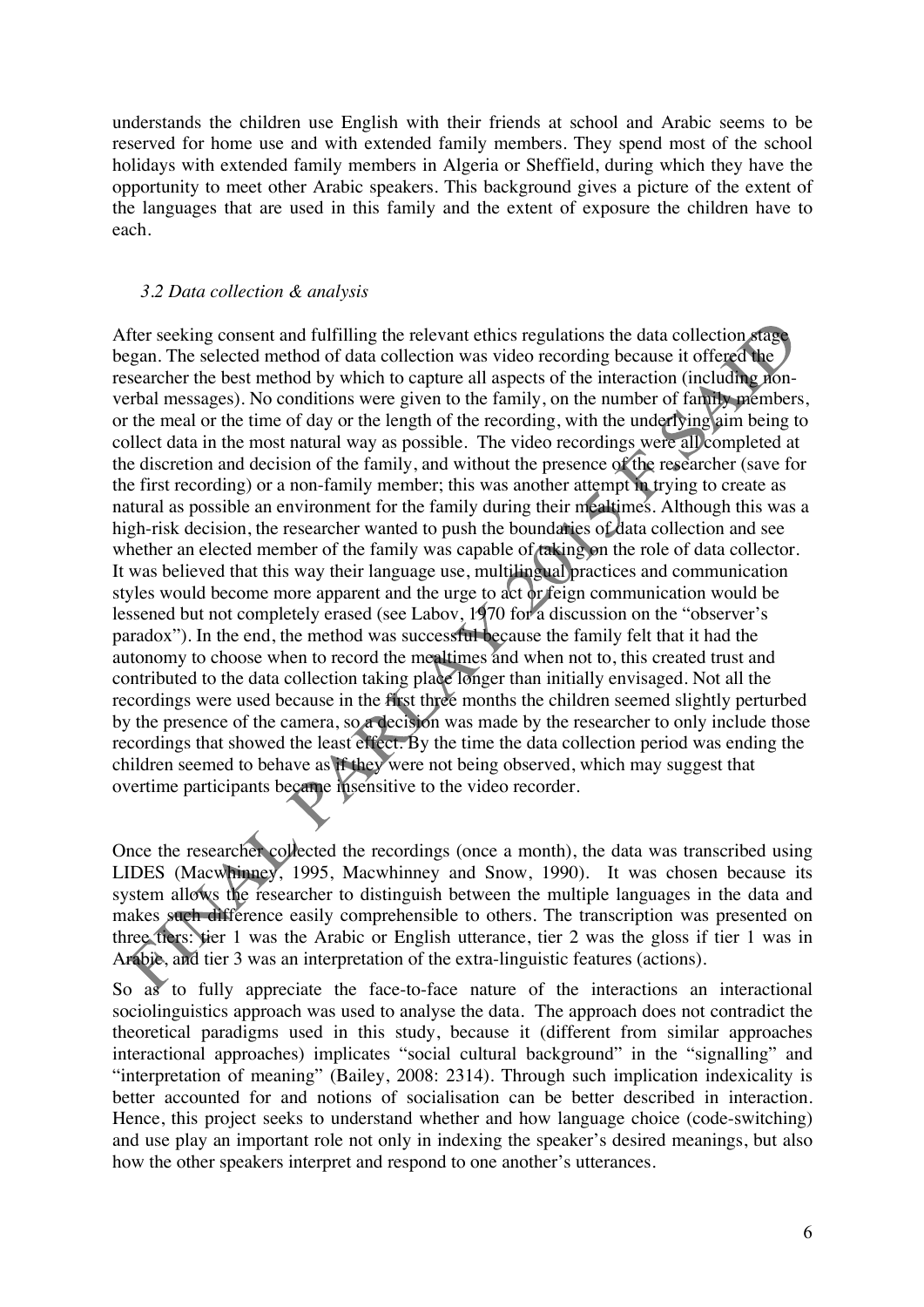understands the children use English with their friends at school and Arabic seems to be reserved for home use and with extended family members. They spend most of the school holidays with extended family members in Algeria or Sheffield, during which they have the opportunity to meet other Arabic speakers. This background gives a picture of the extent of the languages that are used in this family and the extent of exposure the children have to each.

## *3.2 Data collection & analysis*

After seeking consent and fulfilling the relevant ethics regulations the data collection stage began. The selected method of data collection was video recording because it offered the researcher the best method by which to capture all aspects of the interaction (including nonverbal messages). No conditions were given to the family, on the number of family members, or the meal or the time of day or the length of the recording, with the underlying aim being to collect data in the most natural way as possible. The video recordings were all completed at the discretion and decision of the family, and without the presence of the researcher (save for the first recording) or a non-family member; this was another attempt in trying to create as natural as possible an environment for the family during their mealtimes. Although this was a high-risk decision, the researcher wanted to push the boundaries of data collection and see whether an elected member of the family was capable of taking on the role of data collector. It was believed that this way their language use, multilingual practices and communication styles would become more apparent and the urge to act or feign communication would be lessened but not completely erased (see Labov, 1970 for a discussion on the "observer's paradox"). In the end, the method was successful because the family felt that it had the autonomy to choose when to record the mealtimes and when not to, this created trust and contributed to the data collection taking place longer than initially envisaged. Not all the recordings were used because in the first three months the children seemed slightly perturbed by the presence of the camera, so a decision was made by the researcher to only include those recordings that showed the least effect. By the time the data collection period was ending the children seemed to behave as if they were not being observed, which may suggest that overtime participants became insensitive to the video recorder.

Once the researcher collected the recordings (once a month), the data was transcribed using LIDES (Macwhinney, 1995, Macwhinney and Snow, 1990). It was chosen because its system allows the researcher to distinguish between the multiple languages in the data and makes such difference easily comprehensible to others. The transcription was presented on three tiers: tier 1 was the Arabic or English utterance, tier 2 was the gloss if tier 1 was in Arabic, and tier 3 was an interpretation of the extra-linguistic features (actions).

So as to fully appreciate the face-to-face nature of the interactions an interactional sociolinguistics approach was used to analyse the data. The approach does not contradict the theoretical paradigms used in this study, because it (different from similar approaches interactional approaches) implicates "social cultural background" in the "signalling" and "interpretation of meaning" (Bailey, 2008: 2314). Through such implication indexicality is better accounted for and notions of socialisation can be better described in interaction. Hence, this project seeks to understand whether and how language choice (code-switching) and use play an important role not only in indexing the speaker's desired meanings, but also how the other speakers interpret and respond to one another's utterances.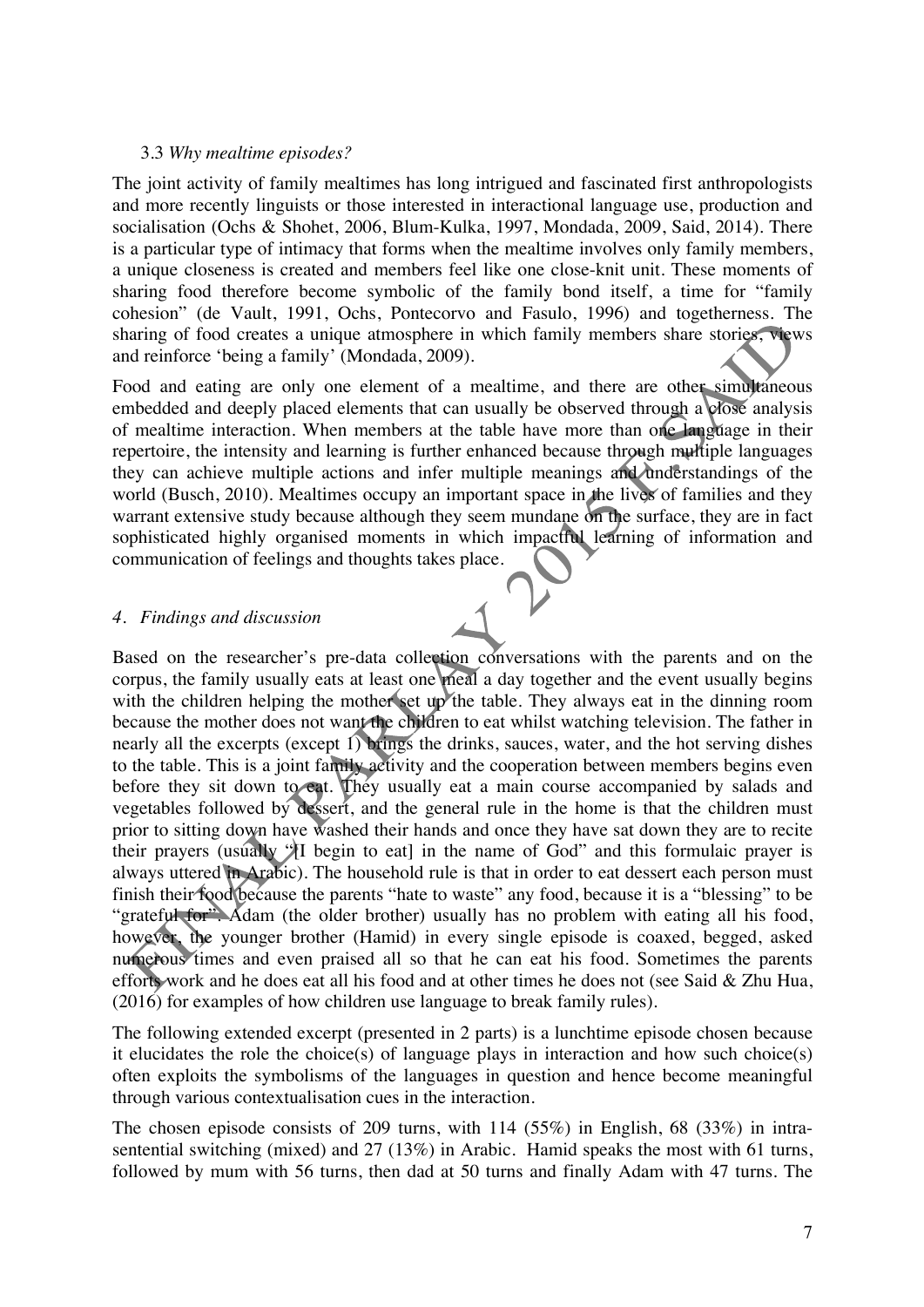## 3.3 *Why mealtime episodes?*

The joint activity of family mealtimes has long intrigued and fascinated first anthropologists and more recently linguists or those interested in interactional language use, production and socialisation (Ochs & Shohet, 2006, Blum-Kulka, 1997, Mondada, 2009, Said, 2014). There is a particular type of intimacy that forms when the mealtime involves only family members, a unique closeness is created and members feel like one close-knit unit. These moments of sharing food therefore become symbolic of the family bond itself, a time for "family cohesion" (de Vault, 1991, Ochs, Pontecorvo and Fasulo, 1996) and togetherness. The sharing of food creates a unique atmosphere in which family members share stories, views and reinforce 'being a family' (Mondada, 2009).

Food and eating are only one element of a mealtime, and there are other simultaneous embedded and deeply placed elements that can usually be observed through a close analysis of mealtime interaction. When members at the table have more than one language in their repertoire, the intensity and learning is further enhanced because through multiple languages they can achieve multiple actions and infer multiple meanings and understandings of the world (Busch, 2010). Mealtimes occupy an important space in the lives of families and they warrant extensive study because although they seem mundane on the surface, they are in fact sophisticated highly organised moments in which impactful learning of information and communication of feelings and thoughts takes place.

#### *4. Findings and discussion*

Based on the researcher's pre-data collection conversations with the parents and on the corpus, the family usually eats at least one meal a day together and the event usually begins with the children helping the mother set up the table. They always eat in the dinning room because the mother does not want the children to eat whilst watching television. The father in nearly all the excerpts (except 1) brings the drinks, sauces, water, and the hot serving dishes to the table. This is a joint family activity and the cooperation between members begins even before they sit down to eat. They usually eat a main course accompanied by salads and vegetables followed by dessert, and the general rule in the home is that the children must prior to sitting down have washed their hands and once they have sat down they are to recite their prayers (usually "[I begin to eat] in the name of God" and this formulaic prayer is always uttered in Arabic). The household rule is that in order to eat dessert each person must finish their food because the parents "hate to waste" any food, because it is a "blessing" to be "grateful for". Adam (the older brother) usually has no problem with eating all his food, however, the younger brother (Hamid) in every single episode is coaxed, begged, asked numerous times and even praised all so that he can eat his food. Sometimes the parents efforts work and he does eat all his food and at other times he does not (see Said & Zhu Hua, (2016) for examples of how children use language to break family rules).

The following extended excerpt (presented in 2 parts) is a lunchtime episode chosen because it elucidates the role the choice(s) of language plays in interaction and how such choice(s) often exploits the symbolisms of the languages in question and hence become meaningful through various contextualisation cues in the interaction.

The chosen episode consists of 209 turns, with 114 (55%) in English, 68 (33%) in intrasentential switching (mixed) and 27 (13%) in Arabic. Hamid speaks the most with 61 turns, followed by mum with 56 turns, then dad at 50 turns and finally Adam with 47 turns. The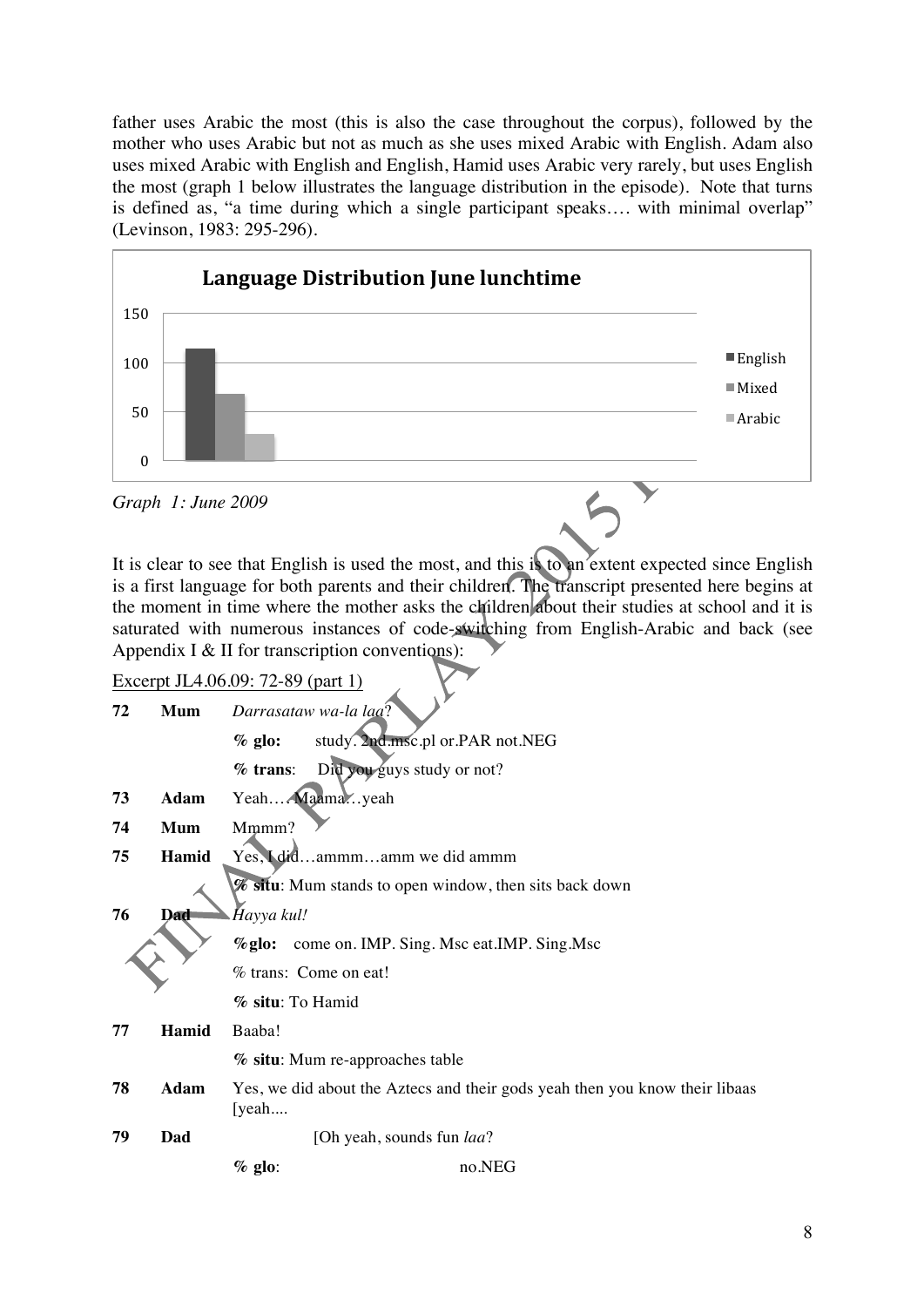father uses Arabic the most (this is also the case throughout the corpus), followed by the mother who uses Arabic but not as much as she uses mixed Arabic with English. Adam also uses mixed Arabic with English and English, Hamid uses Arabic very rarely, but uses English the most (graph 1 below illustrates the language distribution in the episode). Note that turns is defined as, "a time during which a single participant speaks…. with minimal overlap" (Levinson, 1983: 295-296).



It is clear to see that English is used the most, and this is to an extent expected since English is a first language for both parents and their children. The transcript presented here begins at the moment in time where the mother asks the children about their studies at school and it is saturated with numerous instances of code-switching from English-Arabic and back (see Appendix I & II for transcription conventions):

| Excerpt JL4.06.09: 72-89 (part 1) |            |                                                                                      |                                                        |  |  |  |
|-----------------------------------|------------|--------------------------------------------------------------------------------------|--------------------------------------------------------|--|--|--|
| 72                                | <b>Mum</b> | Darrasataw wa-la laa?                                                                |                                                        |  |  |  |
|                                   |            | $%$ glo:                                                                             | study. 2nd.msc.pl or.PAR not.NEG                       |  |  |  |
|                                   |            | $%$ trans:                                                                           | Did you guys study or not?                             |  |  |  |
| 73                                | Adam       |                                                                                      | Yeah Maamayeah                                         |  |  |  |
| 74                                | <b>Mum</b> | Mmmm?                                                                                |                                                        |  |  |  |
| 75                                | Hamid      | Yes, I didammmamm we did ammm                                                        |                                                        |  |  |  |
|                                   |            |                                                                                      | % situ: Mum stands to open window, then sits back down |  |  |  |
| 76                                | Dad        | Hayya kul!<br>come on. IMP. Sing. Msc eat. IMP. Sing. Msc<br>$\%$ glo:               |                                                        |  |  |  |
|                                   |            |                                                                                      |                                                        |  |  |  |
|                                   |            | % trans: Come on eat!                                                                |                                                        |  |  |  |
|                                   |            | % situ: To Hamid                                                                     |                                                        |  |  |  |
| 77                                | Hamid      | Baaba!                                                                               |                                                        |  |  |  |
|                                   |            |                                                                                      | % situ: Mum re-approaches table                        |  |  |  |
| 78                                | Adam       | Yes, we did about the Aztecs and their gods yeah then you know their libaas<br>[yeah |                                                        |  |  |  |
| 79                                | Dad        |                                                                                      | [Oh yeah, sounds fun <i>laa</i> ?                      |  |  |  |
|                                   |            | $%$ glo:                                                                             | no.NEG                                                 |  |  |  |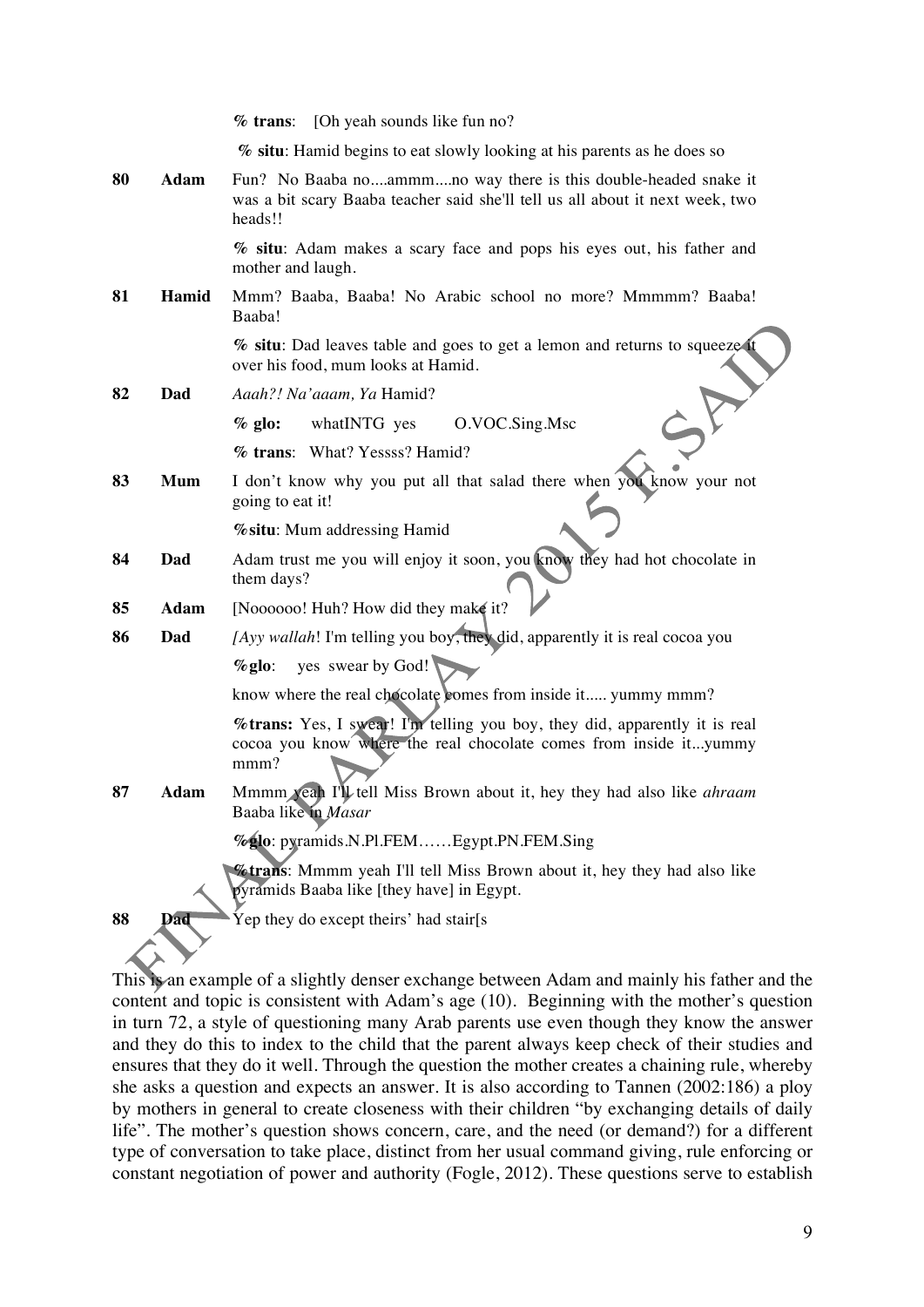|    |             | % trans: [Oh yeah sounds like fun no?                                                                                                                       |  |  |  |  |
|----|-------------|-------------------------------------------------------------------------------------------------------------------------------------------------------------|--|--|--|--|
|    |             | % situ: Hamid begins to eat slowly looking at his parents as he does so                                                                                     |  |  |  |  |
| 80 | Adam        | Fun? No Baaba noammmno way there is this double-headed snake it<br>was a bit scary Baaba teacher said she'll tell us all about it next week, two<br>heads!! |  |  |  |  |
|    |             | % situ: Adam makes a scary face and pops his eyes out, his father and<br>mother and laugh.                                                                  |  |  |  |  |
| 81 | Hamid       | Mmm? Baaba, Baaba! No Arabic school no more? Mmmmm? Baaba!<br>Baaba!                                                                                        |  |  |  |  |
|    |             | % situ: Dad leaves table and goes to get a lemon and returns to squeeze<br>over his food, mum looks at Hamid.                                               |  |  |  |  |
| 82 | Dad         | Aaah?! Na'aaam, Ya Hamid?                                                                                                                                   |  |  |  |  |
|    |             | O.VOC.Sing.Msc<br>$%$ glo:<br>whatINTG yes                                                                                                                  |  |  |  |  |
|    |             | % trans: What? Yessss? Hamid?                                                                                                                               |  |  |  |  |
| 83 | <b>Mum</b>  | I don't know why you put all that salad there when you know your not<br>going to eat it!                                                                    |  |  |  |  |
|    |             | % situ: Mum addressing Hamid                                                                                                                                |  |  |  |  |
| 84 | Dad         | Adam trust me you will enjoy it soon, you know they had hot chocolate in<br>them days?                                                                      |  |  |  |  |
| 85 | <b>Adam</b> | [Noooooo! Huh? How did they make it?                                                                                                                        |  |  |  |  |
| 86 | Dad         | [Ayy wallah! I'm telling you boy, they did, apparently it is real cocoa you                                                                                 |  |  |  |  |
|    |             | $%$ glo: yes swear by God!                                                                                                                                  |  |  |  |  |
|    |             | know where the real chocolate comes from inside it yummy mmm?                                                                                               |  |  |  |  |
|    |             | %trans: Yes, I swear! I'm telling you boy, they did, apparently it is real<br>cocoa you know where the real chocolate comes from inside ityummy<br>mmm?     |  |  |  |  |
| 87 | Adam        | Mmmm yeah I'll tell Miss Brown about it, hey they had also like <i>ahraam</i><br>Baaba like in Masar                                                        |  |  |  |  |
|    |             | %glo: pyramids.N.Pl.FEMEgypt.PN.FEM.Sing                                                                                                                    |  |  |  |  |
|    |             | <b>%trans:</b> Mmmm yeah I'll tell Miss Brown about it, hey they had also like<br>pyramids Baaba like [they have] in Egypt.                                 |  |  |  |  |
| 88 | Dad         | Yep they do except theirs' had stair[s                                                                                                                      |  |  |  |  |
|    |             |                                                                                                                                                             |  |  |  |  |

This is an example of a slightly denser exchange between Adam and mainly his father and the content and topic is consistent with Adam's age (10). Beginning with the mother's question in turn 72, a style of questioning many Arab parents use even though they know the answer and they do this to index to the child that the parent always keep check of their studies and ensures that they do it well. Through the question the mother creates a chaining rule, whereby she asks a question and expects an answer. It is also according to Tannen (2002:186) a ploy by mothers in general to create closeness with their children "by exchanging details of daily life". The mother's question shows concern, care, and the need (or demand?) for a different type of conversation to take place, distinct from her usual command giving, rule enforcing or constant negotiation of power and authority (Fogle, 2012). These questions serve to establish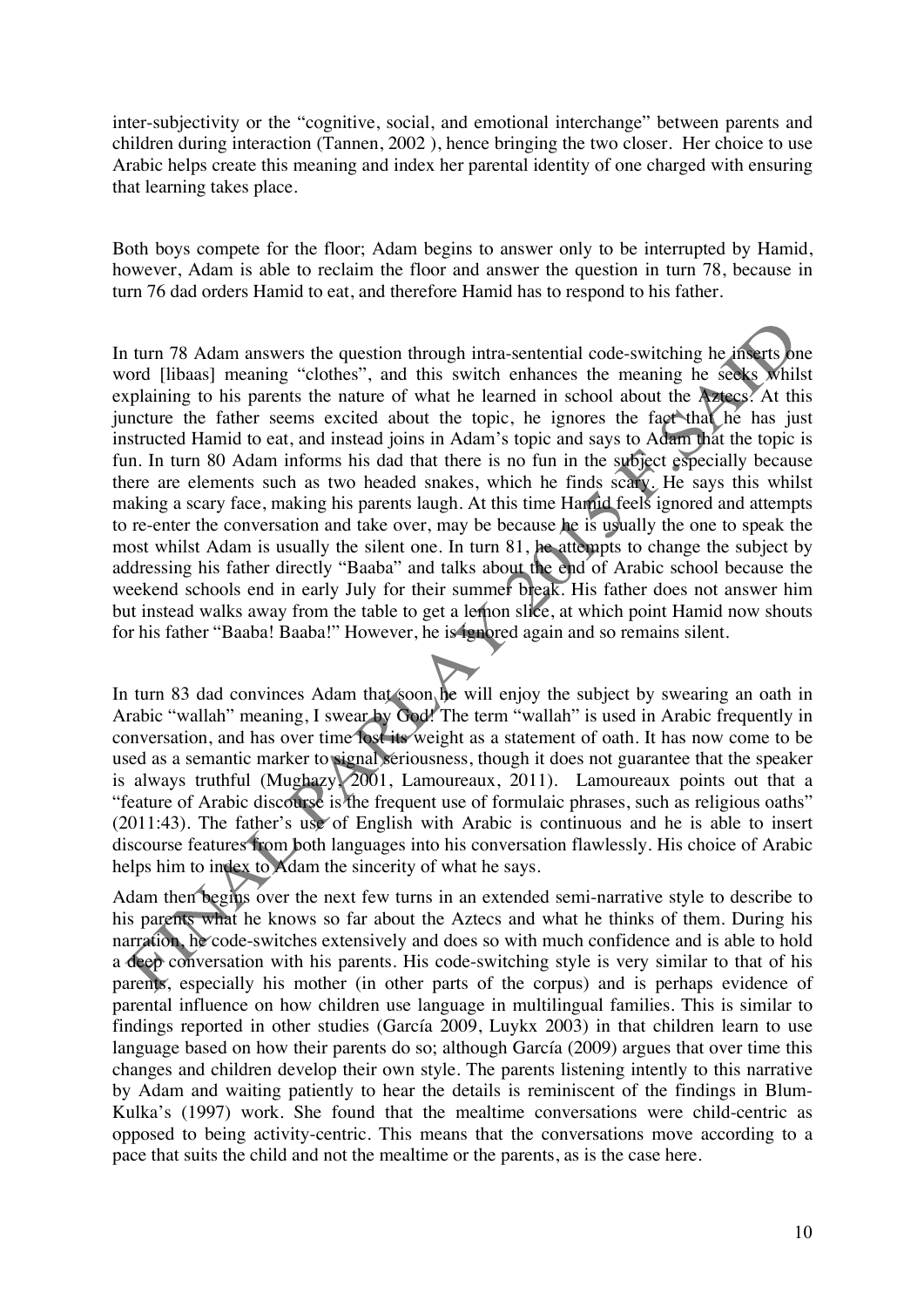inter-subjectivity or the "cognitive, social, and emotional interchange" between parents and children during interaction (Tannen, 2002 ), hence bringing the two closer. Her choice to use Arabic helps create this meaning and index her parental identity of one charged with ensuring that learning takes place.

Both boys compete for the floor; Adam begins to answer only to be interrupted by Hamid, however, Adam is able to reclaim the floor and answer the question in turn 78, because in turn 76 dad orders Hamid to eat, and therefore Hamid has to respond to his father.

In turn 78 Adam answers the question through intra-sentential code-switching he inserts one word [libaas] meaning "clothes", and this switch enhances the meaning he seeks whilst explaining to his parents the nature of what he learned in school about the Aztecs. At this juncture the father seems excited about the topic, he ignores the fact that he has just instructed Hamid to eat, and instead joins in Adam's topic and says to Adam that the topic is fun. In turn 80 Adam informs his dad that there is no fun in the subject especially because there are elements such as two headed snakes, which he finds scary. He says this whilst making a scary face, making his parents laugh. At this time Hamid feels ignored and attempts to re-enter the conversation and take over, may be because he is usually the one to speak the most whilst Adam is usually the silent one. In turn 81, he attempts to change the subject by addressing his father directly "Baaba" and talks about the end of Arabic school because the weekend schools end in early July for their summer break. His father does not answer him but instead walks away from the table to get a lemon slice, at which point Hamid now shouts for his father "Baaba! Baaba!" However, he is ignored again and so remains silent.

In turn 83 dad convinces Adam that soon he will enjoy the subject by swearing an oath in Arabic "wallah" meaning, I swear by God! The term "wallah" is used in Arabic frequently in conversation, and has over time lost its weight as a statement of oath. It has now come to be used as a semantic marker to signal seriousness, though it does not guarantee that the speaker is always truthful (Mughazy, 2001, Lamoureaux, 2011). Lamoureaux points out that a "feature of Arabic discourse is the frequent use of formulaic phrases, such as religious oaths" (2011:43). The father's use of English with Arabic is continuous and he is able to insert discourse features from both languages into his conversation flawlessly. His choice of Arabic helps him to index to Adam the sincerity of what he says.

Adam then begins over the next few turns in an extended semi-narrative style to describe to his parents what he knows so far about the Aztecs and what he thinks of them. During his narration, he code-switches extensively and does so with much confidence and is able to hold a deep conversation with his parents. His code-switching style is very similar to that of his parents, especially his mother (in other parts of the corpus) and is perhaps evidence of parental influence on how children use language in multilingual families. This is similar to findings reported in other studies (García 2009, Luykx 2003) in that children learn to use language based on how their parents do so; although García (2009) argues that over time this changes and children develop their own style. The parents listening intently to this narrative by Adam and waiting patiently to hear the details is reminiscent of the findings in Blum-Kulka's (1997) work. She found that the mealtime conversations were child-centric as opposed to being activity-centric. This means that the conversations move according to a pace that suits the child and not the mealtime or the parents, as is the case here.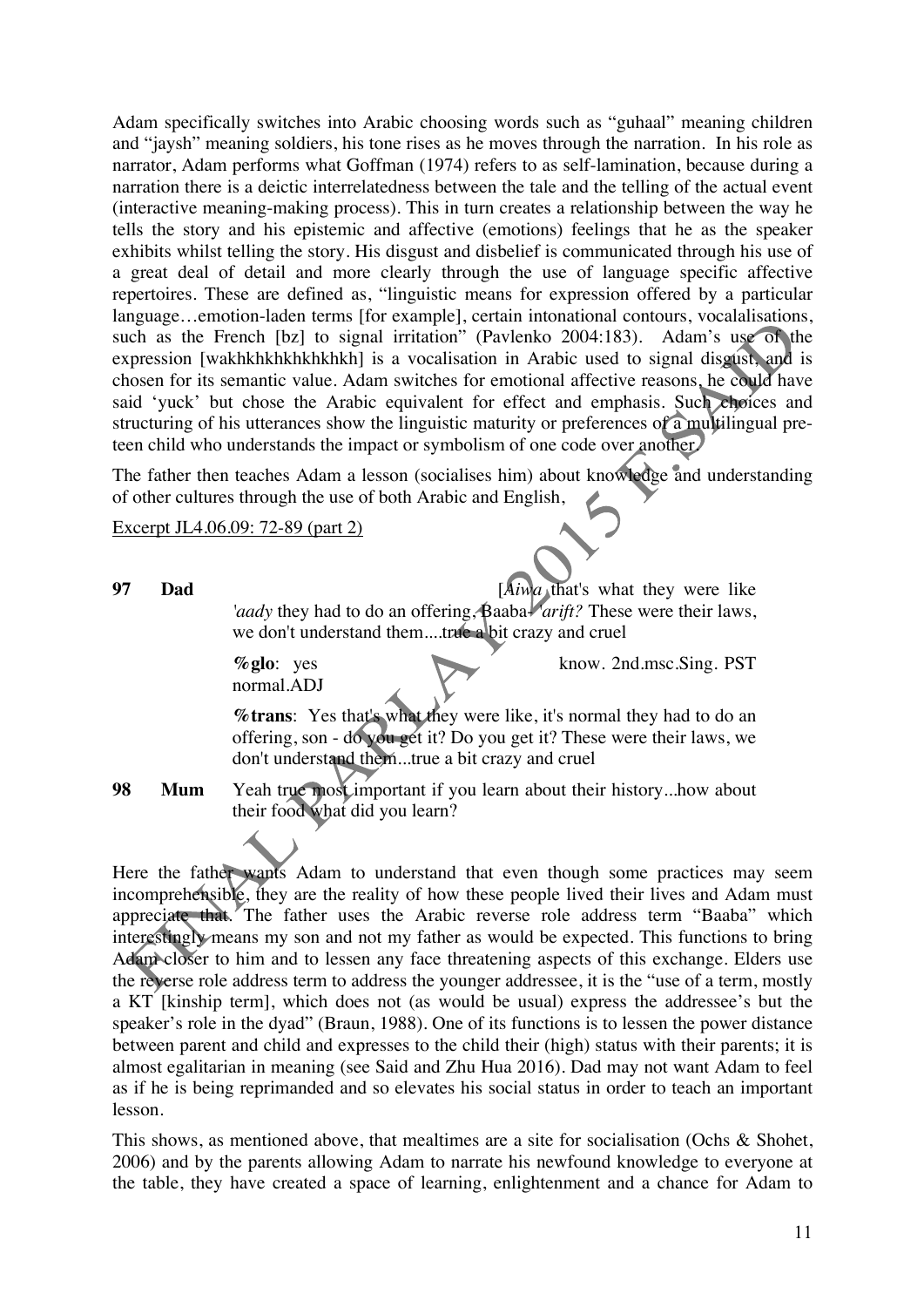Adam specifically switches into Arabic choosing words such as "guhaal" meaning children and "jaysh" meaning soldiers, his tone rises as he moves through the narration. In his role as narrator, Adam performs what Goffman (1974) refers to as self-lamination, because during a narration there is a deictic interrelatedness between the tale and the telling of the actual event (interactive meaning-making process). This in turn creates a relationship between the way he tells the story and his epistemic and affective (emotions) feelings that he as the speaker exhibits whilst telling the story. His disgust and disbelief is communicated through his use of a great deal of detail and more clearly through the use of language specific affective repertoires. These are defined as, "linguistic means for expression offered by a particular language…emotion-laden terms [for example], certain intonational contours, vocalalisations, such as the French [bz] to signal irritation" (Pavlenko 2004:183). Adam's use of the expression [wakhkhkhkhkhkhkh] is a vocalisation in Arabic used to signal disgust, and is chosen for its semantic value. Adam switches for emotional affective reasons, he could have said 'yuck' but chose the Arabic equivalent for effect and emphasis. Such choices and structuring of his utterances show the linguistic maturity or preferences of a multilingual preteen child who understands the impact or symbolism of one code over another.

The father then teaches Adam a lesson (socialises him) about knowledge and understanding of other cultures through the use of both Arabic and English,

Excerpt JL4.06.09: 72-89 (part 2)

**97 Dad** [*Aiwa* that's what they were like '*aady* they had to do an offering, Baaba- *'arift?* These were their laws, we don't understand them....true a bit crazy and cruel

**%glo**: yes know. 2nd.msc.Sing. PST

normal.ADJ

**%trans**: Yes that's what they were like, it's normal they had to do an offering, son - do you get it? Do you get it? These were their laws, we don't understand them...true a bit crazy and cruel

**98 Mum** Yeah true most important if you learn about their history...how about their food what did you learn?

Here the father wants Adam to understand that even though some practices may seem incomprehensible, they are the reality of how these people lived their lives and Adam must appreciate that. The father uses the Arabic reverse role address term "Baaba" which interestingly means my son and not my father as would be expected. This functions to bring Adam closer to him and to lessen any face threatening aspects of this exchange. Elders use the reverse role address term to address the younger addressee, it is the "use of a term, mostly a KT [kinship term], which does not (as would be usual) express the addressee's but the speaker's role in the dyad" (Braun, 1988). One of its functions is to lessen the power distance between parent and child and expresses to the child their (high) status with their parents; it is almost egalitarian in meaning (see Said and Zhu Hua 2016). Dad may not want Adam to feel as if he is being reprimanded and so elevates his social status in order to teach an important lesson.

This shows, as mentioned above, that mealtimes are a site for socialisation (Ochs & Shohet, 2006) and by the parents allowing Adam to narrate his newfound knowledge to everyone at the table, they have created a space of learning, enlightenment and a chance for Adam to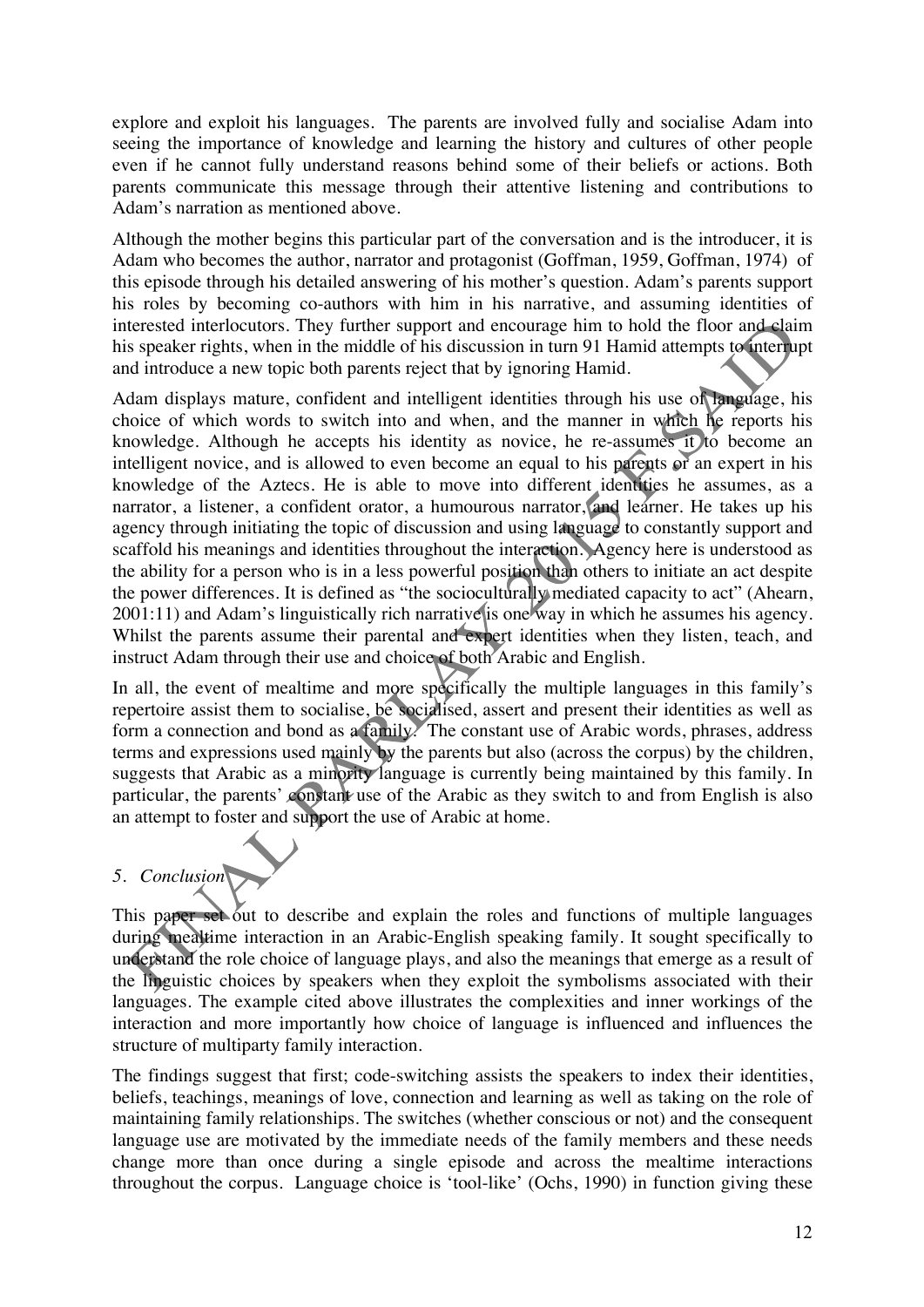explore and exploit his languages. The parents are involved fully and socialise Adam into seeing the importance of knowledge and learning the history and cultures of other people even if he cannot fully understand reasons behind some of their beliefs or actions. Both parents communicate this message through their attentive listening and contributions to Adam's narration as mentioned above.

Although the mother begins this particular part of the conversation and is the introducer, it is Adam who becomes the author, narrator and protagonist (Goffman, 1959, Goffman, 1974) of this episode through his detailed answering of his mother's question. Adam's parents support his roles by becoming co-authors with him in his narrative, and assuming identities of interested interlocutors. They further support and encourage him to hold the floor and claim his speaker rights, when in the middle of his discussion in turn 91 Hamid attempts to interrupt and introduce a new topic both parents reject that by ignoring Hamid.

Adam displays mature, confident and intelligent identities through his use of language, his choice of which words to switch into and when, and the manner in which he reports his knowledge. Although he accepts his identity as novice, he re-assumes it to become an intelligent novice, and is allowed to even become an equal to his parents or an expert in his knowledge of the Aztecs. He is able to move into different identities he assumes, as a narrator, a listener, a confident orator, a humourous narrator, and learner. He takes up his agency through initiating the topic of discussion and using language to constantly support and scaffold his meanings and identities throughout the interaction. Agency here is understood as the ability for a person who is in a less powerful position than others to initiate an act despite the power differences. It is defined as "the socioculturally mediated capacity to act" (Ahearn, 2001:11) and Adam's linguistically rich narrative is one way in which he assumes his agency. Whilst the parents assume their parental and expert identities when they listen, teach, and instruct Adam through their use and choice of both Arabic and English.

In all, the event of mealtime and more specifically the multiple languages in this family's repertoire assist them to socialise, be socialised, assert and present their identities as well as form a connection and bond as a family. The constant use of Arabic words, phrases, address terms and expressions used mainly by the parents but also (across the corpus) by the children, suggests that Arabic as a minority language is currently being maintained by this family. In particular, the parents' constant use of the Arabic as they switch to and from English is also an attempt to foster and support the use of Arabic at home.

## *5. Conclusion*

This paper set out to describe and explain the roles and functions of multiple languages during mealtime interaction in an Arabic-English speaking family. It sought specifically to understand the role choice of language plays, and also the meanings that emerge as a result of the linguistic choices by speakers when they exploit the symbolisms associated with their languages. The example cited above illustrates the complexities and inner workings of the interaction and more importantly how choice of language is influenced and influences the structure of multiparty family interaction.

The findings suggest that first; code-switching assists the speakers to index their identities, beliefs, teachings, meanings of love, connection and learning as well as taking on the role of maintaining family relationships. The switches (whether conscious or not) and the consequent language use are motivated by the immediate needs of the family members and these needs change more than once during a single episode and across the mealtime interactions throughout the corpus. Language choice is 'tool-like' (Ochs, 1990) in function giving these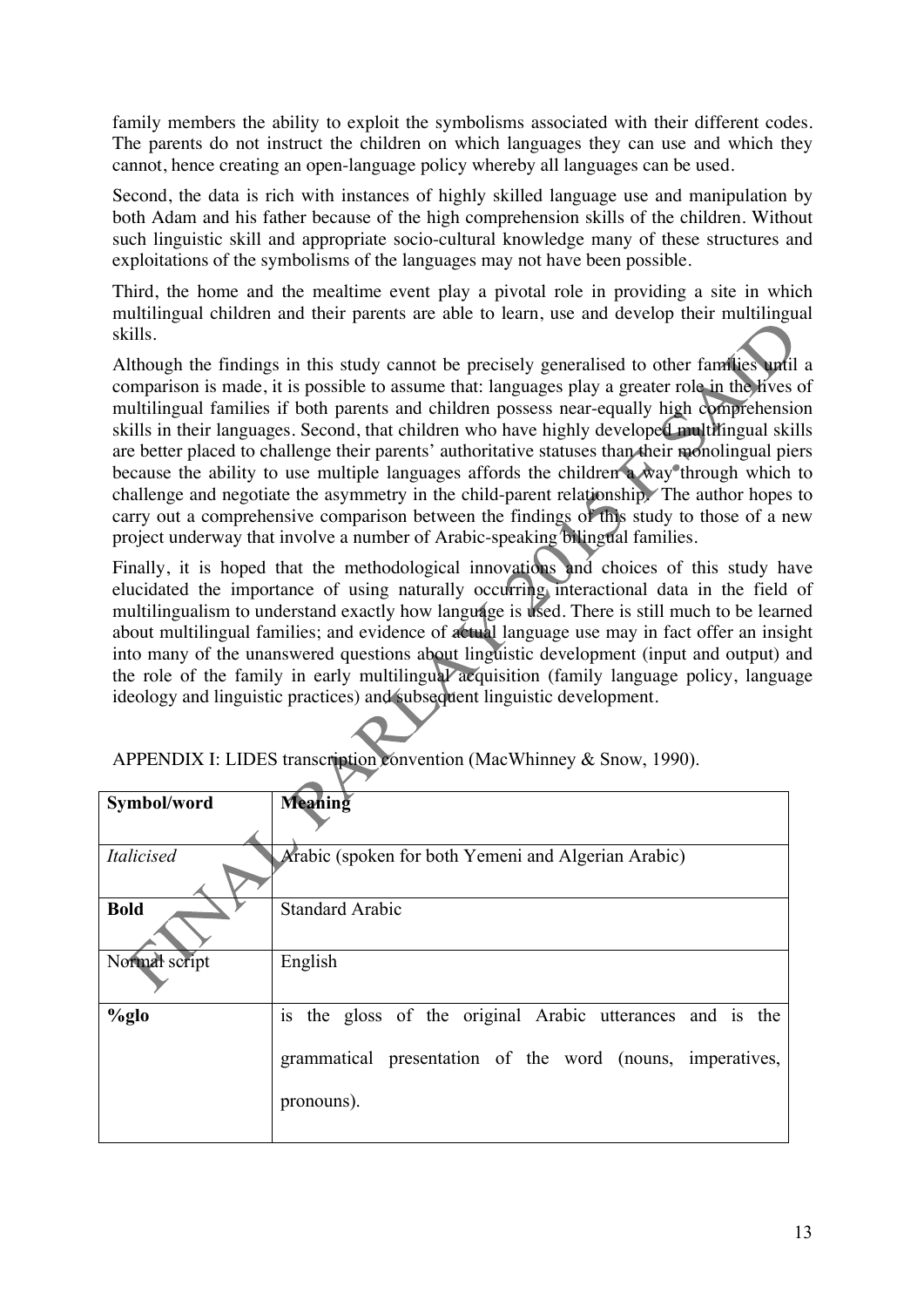family members the ability to exploit the symbolisms associated with their different codes. The parents do not instruct the children on which languages they can use and which they cannot, hence creating an open-language policy whereby all languages can be used.

Second, the data is rich with instances of highly skilled language use and manipulation by both Adam and his father because of the high comprehension skills of the children. Without such linguistic skill and appropriate socio-cultural knowledge many of these structures and exploitations of the symbolisms of the languages may not have been possible.

Third, the home and the mealtime event play a pivotal role in providing a site in which multilingual children and their parents are able to learn, use and develop their multilingual skills.

Although the findings in this study cannot be precisely generalised to other families until a comparison is made, it is possible to assume that: languages play a greater role in the lives of multilingual families if both parents and children possess near-equally high comprehension skills in their languages. Second, that children who have highly developed multilingual skills are better placed to challenge their parents' authoritative statuses than their monolingual piers because the ability to use multiple languages affords the children a way through which to challenge and negotiate the asymmetry in the child-parent relationship. The author hopes to carry out a comprehensive comparison between the findings of this study to those of a new project underway that involve a number of Arabic-speaking bilingual families.

Finally, it is hoped that the methodological innovations and choices of this study have elucidated the importance of using naturally occurring interactional data in the field of multilingualism to understand exactly how language is used. There is still much to be learned about multilingual families; and evidence of actual language use may in fact offer an insight into many of the unanswered questions about linguistic development (input and output) and the role of the family in early multilingual acquisition (family language policy, language ideology and linguistic practices) and subsequent linguistic development.

| Symbol/word       | Meaning                                                      |
|-------------------|--------------------------------------------------------------|
|                   |                                                              |
|                   |                                                              |
| <i>Italicised</i> | Arabic (spoken for both Yemeni and Algerian Arabic)          |
|                   |                                                              |
| <b>Bold</b>       | <b>Standard Arabic</b>                                       |
|                   |                                                              |
| Normal script     | English                                                      |
|                   |                                                              |
| $\%$ glo          | the gloss of the original Arabic utterances and is the<br>1S |
|                   |                                                              |
|                   |                                                              |
|                   | grammatical presentation of the word (nouns, imperatives,    |
|                   |                                                              |
|                   | pronouns).                                                   |
|                   |                                                              |
|                   |                                                              |

APPENDIX I: LIDES transcription convention (MacWhinney & Snow, 1990).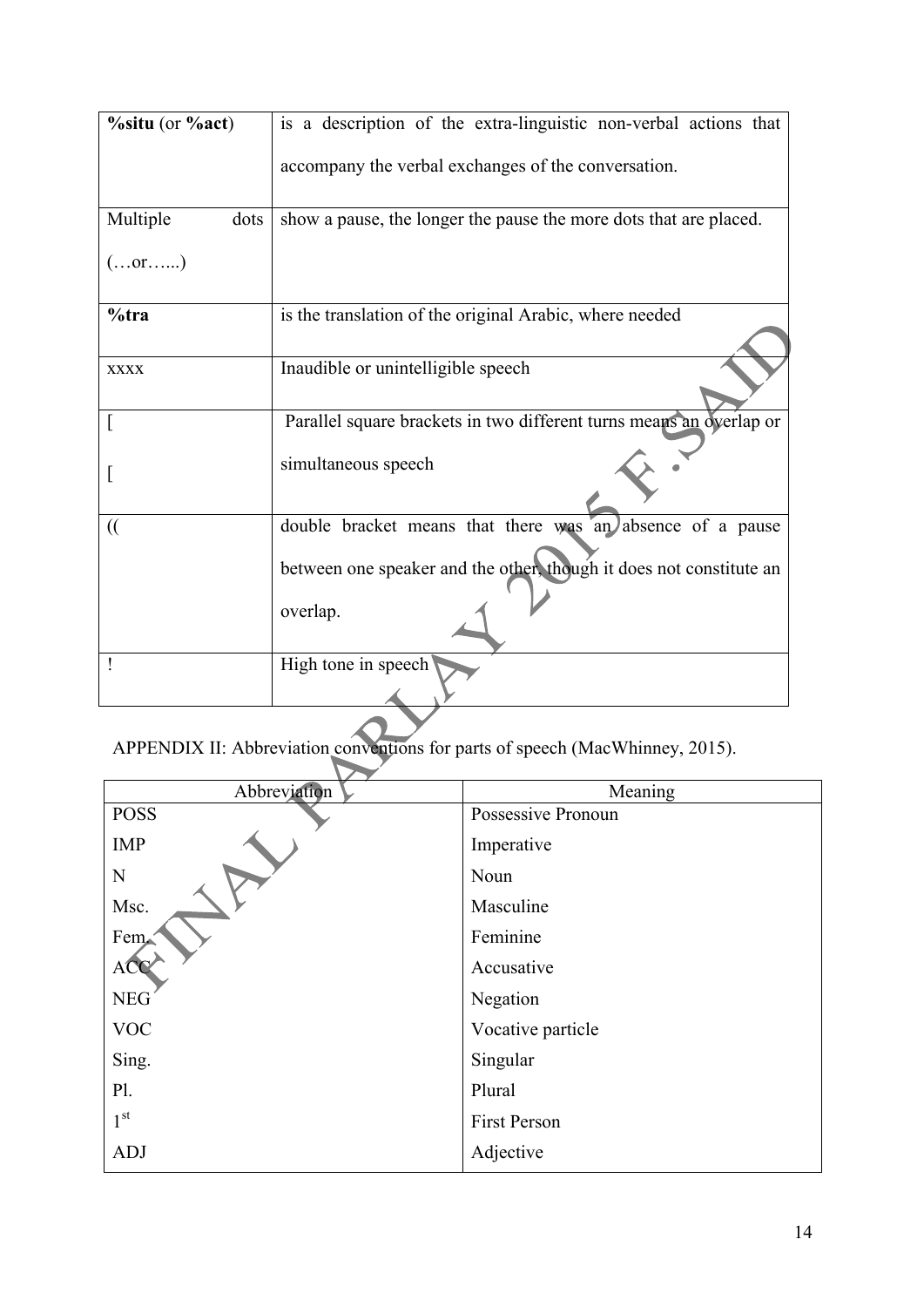| $\%$ situ (or $\%$ act) | is a description of the extra-linguistic non-verbal actions that    |
|-------------------------|---------------------------------------------------------------------|
|                         | accompany the verbal exchanges of the conversation.                 |
| Multiple<br>dots        | show a pause, the longer the pause the more dots that are placed.   |
| (or)                    |                                                                     |
| $%$ tra                 | is the translation of the original Arabic, where needed             |
| <b>XXXX</b>             | Inaudible or unintelligible speech                                  |
|                         | Parallel square brackets in two different turns means an overlap or |
|                         | simultaneous speech                                                 |
| $\mathcal{L}$           | double bracket means that there was an absence of a pause           |
|                         | between one speaker and the other, though it does not constitute an |
|                         | overlap.                                                            |
|                         | High tone in speech                                                 |

APPENDIX II: Abbreviation conventions for parts of speech (MacWhinney, 2015).

| Abbreviation | Meaning            |
|--------------|--------------------|
| <b>POSS</b>  | Possessive Pronoun |
| <b>IMP</b>   | Imperative         |
| N            | Noun               |
| Msc.         | Masculine          |
| Fem          | Feminine           |
| ACC          | Accusative         |
| <b>NEG</b>   | Negation           |
| <b>VOC</b>   | Vocative particle  |
| Sing.        | Singular           |
| P1.          | Plural             |
| $1^{\rm st}$ | First Person       |
| <b>ADJ</b>   | Adjective          |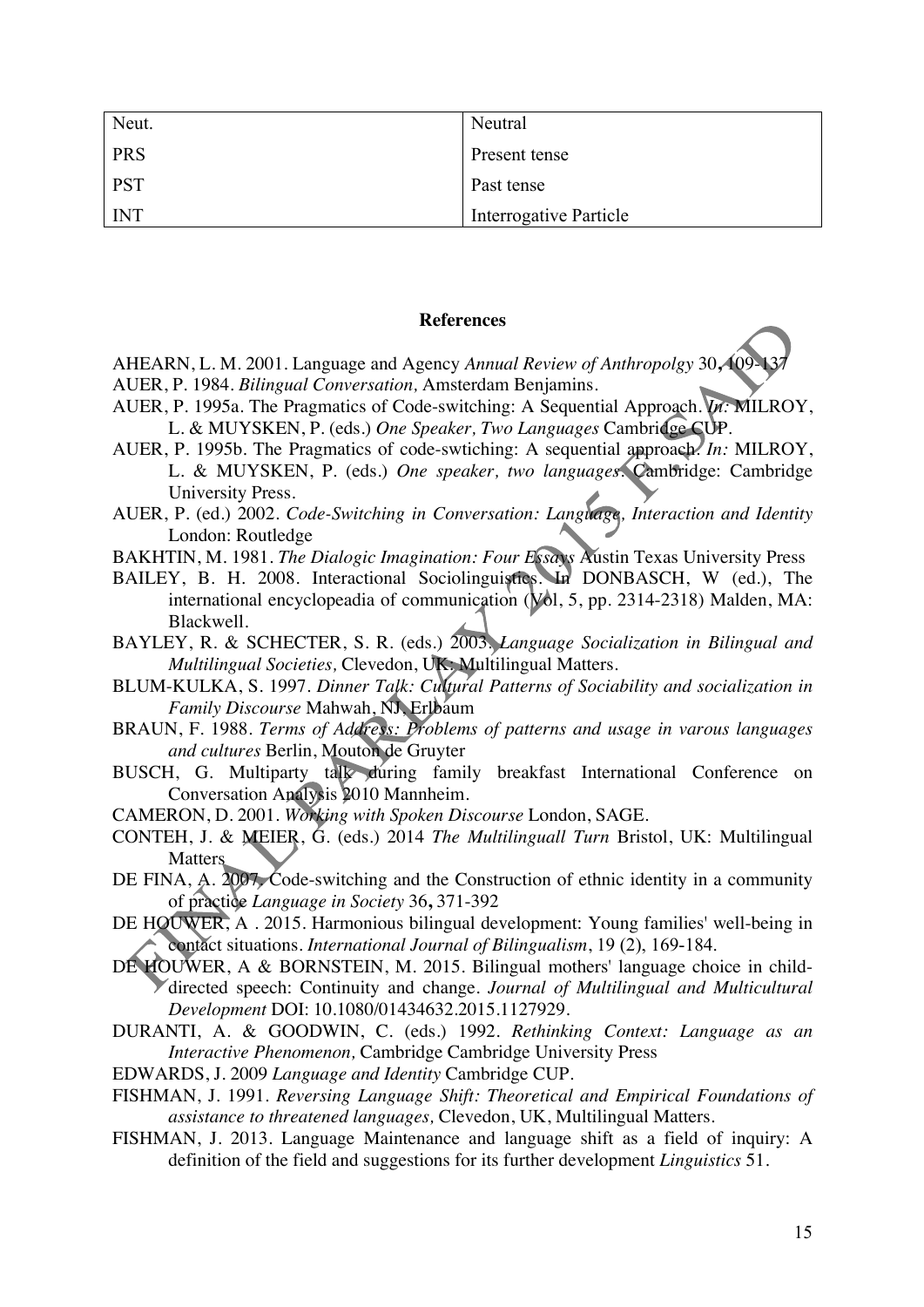| Neut.      | Neutral                |
|------------|------------------------|
| <b>PRS</b> | Present tense          |
| <b>PST</b> | Past tense             |
| <b>INT</b> | Interrogative Particle |

#### **References**

- AHEARN, L. M. 2001. Language and Agency *Annual Review of Anthropolgy* 30, 109-AUER, P. 1984. *Bilingual Conversation,* Amsterdam Benjamins.
- AUER, P. 1995a. The Pragmatics of Code-switching: A Sequential Approach. *In:* MILROY, L. & MUYSKEN, P. (eds.) *One Speaker, Two Languages* Cambridge CUP.
- AUER, P. 1995b. The Pragmatics of code-swtiching: A sequential approach. *In:* MILROY, L. & MUYSKEN, P. (eds.) *One speaker, two languages.* Cambridge: Cambridge University Press.
- AUER, P. (ed.) 2002. *Code-Switching in Conversation: Language, Interaction and Identity*  London: Routledge
- BAKHTIN, M. 1981. *The Dialogic Imagination: Four Essays* Austin Texas University Press
- BAILEY, B. H. 2008. Interactional Sociolinguistics. In DONBASCH, W (ed.), The international encyclopeadia of communication (Vol, 5, pp. 2314-2318) Malden, MA: Blackwell.
- BAYLEY, R. & SCHECTER, S. R. (eds.) 2003. *Language Socialization in Bilingual and Multilingual Societies,* Clevedon, UK: Multilingual Matters.
- BLUM-KULKA, S. 1997. *Dinner Talk: Cultural Patterns of Sociability and socialization in Family Discourse* Mahwah, NJ, Erlbaum
- BRAUN, F. 1988. *Terms of Address: Problems of patterns and usage in varous languages and cultures* Berlin, Mouton de Gruyter
- BUSCH, G. Multiparty talk during family breakfast International Conference on Conversation Analysis 2010 Mannheim.
- CAMERON, D. 2001. *Working with Spoken Discourse* London, SAGE.
- CONTEH, J. & MEIER, G. (eds.) 2014 *The Multilinguall Turn* Bristol, UK: Multilingual **Matters**
- DE FINA, A. 2007, Code-switching and the Construction of ethnic identity in a community of practice *Language in Society* 36**,** 371-392
- DE HOUWER, A . 2015. Harmonious bilingual development: Young families' well-being in contact situations. *International Journal of Bilingualism*, 19 (2), 169-184.
- DE HOUWER, A & BORNSTEIN, M. 2015. Bilingual mothers' language choice in childdirected speech: Continuity and change. *Journal of Multilingual and Multicultural Development* DOI: 10.1080/01434632.2015.1127929.
- DURANTI, A. & GOODWIN, C. (eds.) 1992. *Rethinking Context: Language as an Interactive Phenomenon,* Cambridge Cambridge University Press
- EDWARDS, J. 2009 *Language and Identity* Cambridge CUP.
- FISHMAN, J. 1991. *Reversing Language Shift: Theoretical and Empirical Foundations of assistance to threatened languages,* Clevedon, UK, Multilingual Matters.
- FISHMAN, J. 2013. Language Maintenance and language shift as a field of inquiry: A definition of the field and suggestions for its further development *Linguistics* 51.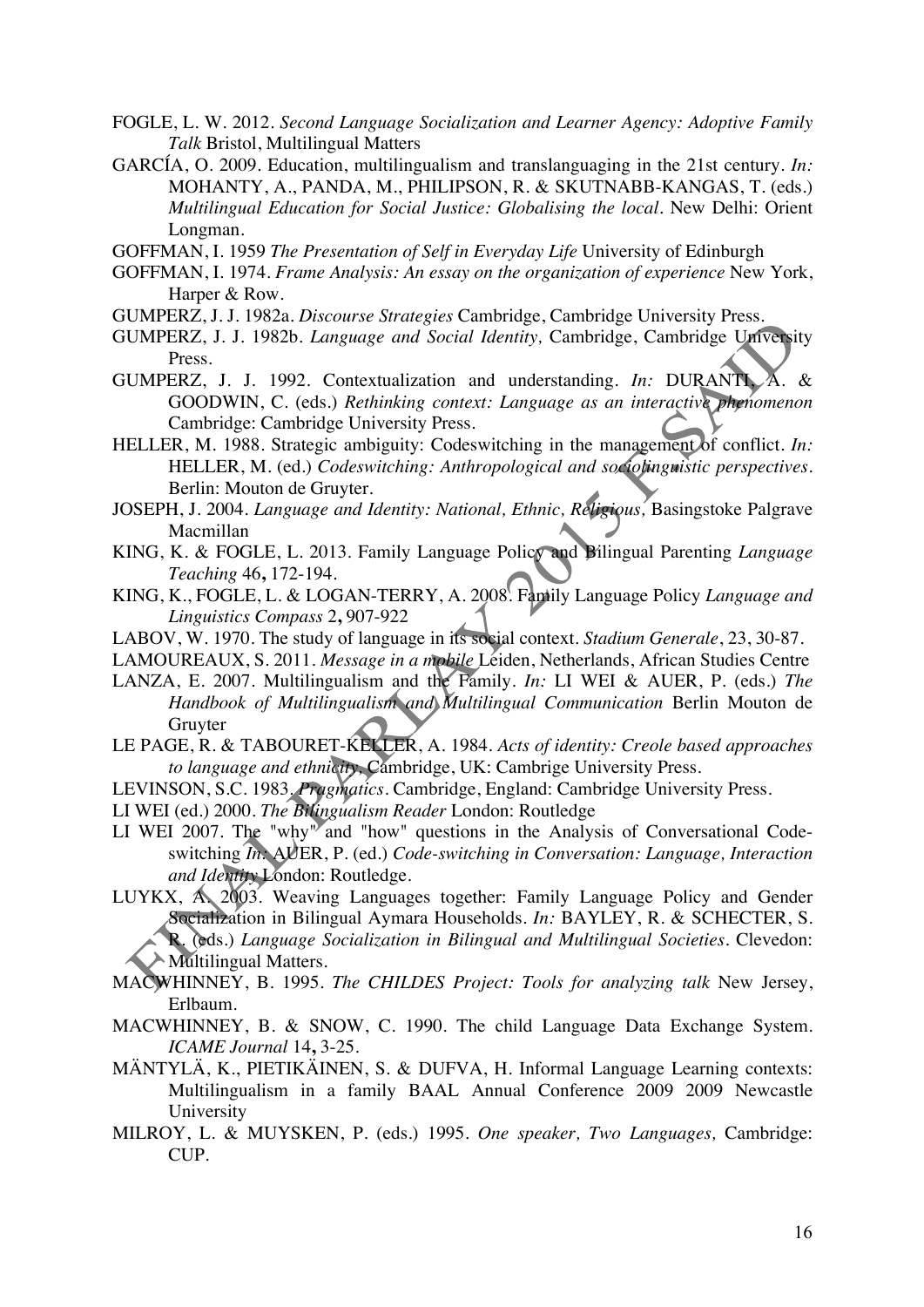- FOGLE, L. W. 2012. *Second Language Socialization and Learner Agency: Adoptive Family Talk* Bristol, Multilingual Matters
- GARCÍA, O. 2009. Education, multilingualism and translanguaging in the 21st century. *In:* MOHANTY, A., PANDA, M., PHILIPSON, R. & SKUTNABB-KANGAS, T. (eds.) *Multilingual Education for Social Justice: Globalising the local.* New Delhi: Orient Longman.

GOFFMAN, I. 1959 *The Presentation of Self in Everyday Life* University of Edinburgh

- GOFFMAN, I. 1974. *Frame Analysis: An essay on the organization of experience* New York, Harper & Row.
- GUMPERZ, J. J. 1982a. *Discourse Strategies* Cambridge, Cambridge University Press.
- GUMPERZ, J. J. 1982b. *Language and Social Identity,* Cambridge, Cambridge University Press.
- GUMPERZ, J. J. 1992. Contextualization and understanding. *In:* DURANTI, A. & GOODWIN, C. (eds.) *Rethinking context: Language as an interactive phenomenon*  Cambridge: Cambridge University Press.
- HELLER, M. 1988. Strategic ambiguity: Codeswitching in the management of conflict. *In:* HELLER, M. (ed.) *Codeswitching: Anthropological and sociolinguistic perspectives.* Berlin: Mouton de Gruyter.
- JOSEPH, J. 2004. *Language and Identity: National, Ethnic, Religious,* Basingstoke Palgrave Macmillan
- KING, K. & FOGLE, L. 2013. Family Language Policy and Bilingual Parenting *Language Teaching* 46**,** 172-194.
- KING, K., FOGLE, L. & LOGAN-TERRY, A. 2008. Family Language Policy *Language and Linguistics Compass* 2**,** 907-922
- LABOV, W. 1970. The study of language in its social context. *Stadium Generale*, 23, 30-87.
- LAMOUREAUX, S. 2011. *Message in a mobile* Leiden, Netherlands, African Studies Centre
- LANZA, E. 2007. Multilingualism and the Family. *In:* LI WEI & AUER, P. (eds.) *The Handbook of Multilingualism and Multilingual Communication* Berlin Mouton de Gruyter
- LE PAGE, R. & TABOURET-KELLER, A. 1984. *Acts of identity: Creole based approaches to language and ethnicity,* Cambridge, UK: Cambrige University Press.
- LEVINSON, S.C. 1983. *Pragmatics*. Cambridge, England: Cambridge University Press.
- LI WEI (ed.) 2000. *The Bilingualism Reader* London: Routledge
- LI WEI 2007. The "why" and "how" questions in the Analysis of Conversational Codeswitching *In:* AUER, P. (ed.) *Code-switching in Conversation: Language, Interaction and Identity* London: Routledge.
- LUYKX, A. 2003. Weaving Languages together: Family Language Policy and Gender Socialization in Bilingual Aymara Households. *In:* BAYLEY, R. & SCHECTER, S. R. (eds.) *Language Socialization in Bilingual and Multilingual Societies.* Clevedon: Multilingual Matters.
- MACWHINNEY, B. 1995. *The CHILDES Project: Tools for analyzing talk* New Jersey, Erlbaum.
- MACWHINNEY, B. & SNOW, C. 1990. The child Language Data Exchange System. *ICAME Journal* 14**,** 3-25.
- MÄNTYLÄ, K., PIETIKÄINEN, S. & DUFVA, H. Informal Language Learning contexts: Multilingualism in a family BAAL Annual Conference 2009 2009 Newcastle University
- MILROY, L. & MUYSKEN, P. (eds.) 1995. *One speaker, Two Languages,* Cambridge: CUP.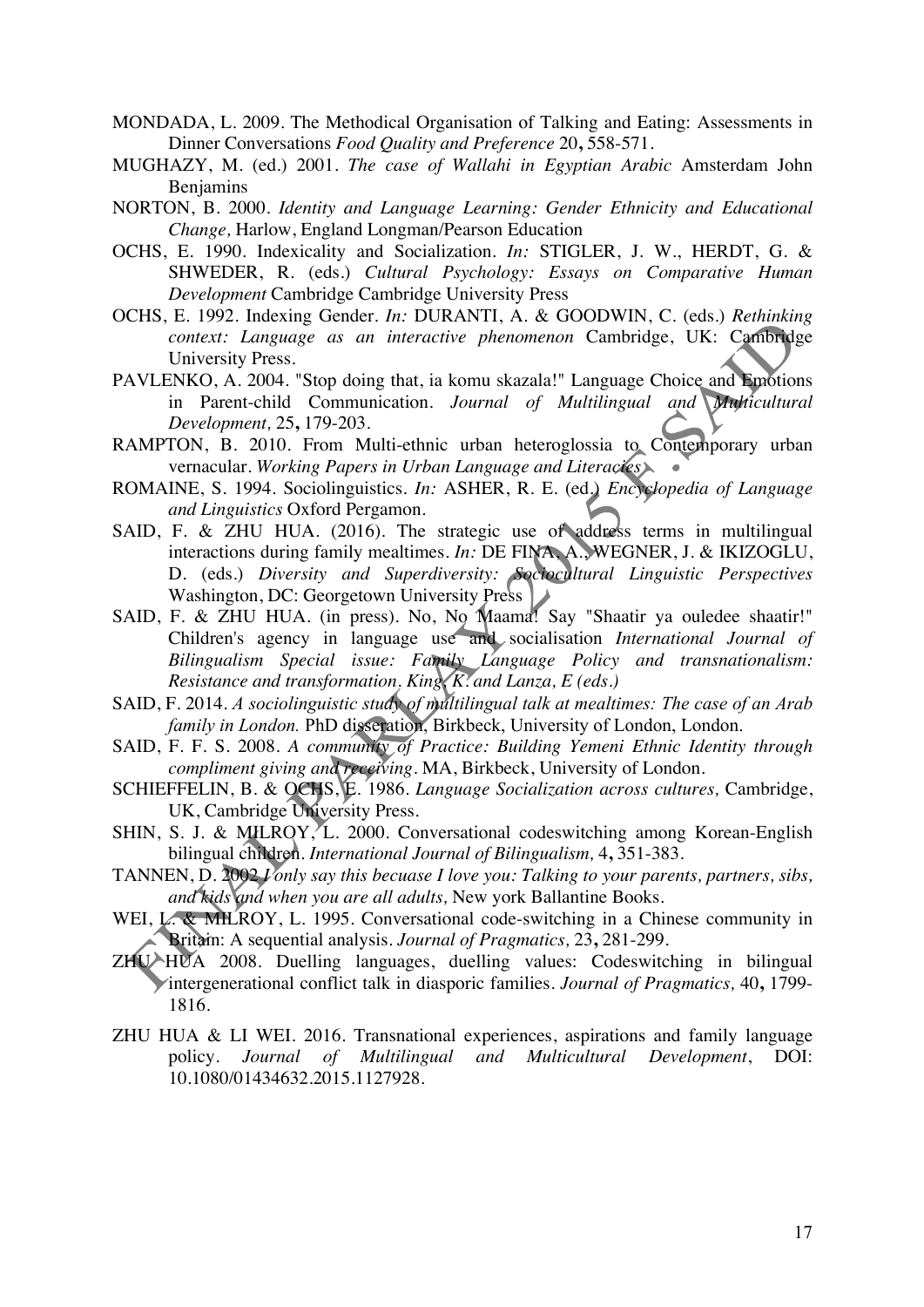- MONDADA, L. 2009. The Methodical Organisation of Talking and Eating: Assessments in Dinner Conversations *Food Quality and Preference* 20**,** 558-571.
- MUGHAZY, M. (ed.) 2001. *The case of Wallahi in Egyptian Arabic* Amsterdam John Benjamins
- NORTON, B. 2000. *Identity and Language Learning: Gender Ethnicity and Educational Change,* Harlow, England Longman/Pearson Education
- OCHS, E. 1990. Indexicality and Socialization. *In:* STIGLER, J. W., HERDT, G. & SHWEDER, R. (eds.) *Cultural Psychology: Essays on Comparative Human Development* Cambridge Cambridge University Press
- OCHS, E. 1992. Indexing Gender. *In:* DURANTI, A. & GOODWIN, C. (eds.) *Rethinking context: Language as an interactive phenomenon* Cambridge, UK: Cambridge University Press.
- PAVLENKO, A. 2004. "Stop doing that, ia komu skazala!" Language Choice and Emotions in Parent-child Communication. *Journal of Multilingual and Multicultural Development,* 25**,** 179-203.
- RAMPTON, B. 2010. From Multi-ethnic urban heteroglossia to Contemporary urban vernacular. *Working Papers in Urban Language and Literacies*
- ROMAINE, S. 1994. Sociolinguistics. *In:* ASHER, R. E. (ed.) *Encyclopedia of Language and Linguistics* Oxford Pergamon.
- SAID, F. & ZHU HUA. (2016). The strategic use of address terms in multilingual interactions during family mealtimes. *In:* DE FINA, A., WEGNER, J. & IKIZOGLU, D. (eds.) *Diversity and Superdiversity: Sociocultural Linguistic Perspectives*  Washington, DC: Georgetown University Press
- SAID, F. & ZHU HUA. (in press). No, No Maama! Say "Shaatir ya ouledee shaatir!" Children's agency in language use and socialisation *International Journal of Bilingualism Special issue: Family Language Policy and transnationalism: Resistance and transformation. King, K. and Lanza, E (eds.)*
- SAID, F. 2014. *A sociolinguistic study of multilingual talk at mealtimes: The case of an Arab family in London.* PhD disseration, Birkbeck, University of London, London.
- SAID, F. F. S. 2008. *A community of Practice: Building Yemeni Ethnic Identity through compliment giving and receiving.* MA, Birkbeck, University of London.
- SCHIEFFELIN, B. & OCHS, E. 1986. *Language Socialization across cultures,* Cambridge, UK, Cambridge University Press.
- SHIN, S. J. & MILROY, L. 2000. Conversational codeswitching among Korean-English bilingual children. *International Journal of Bilingualism,* 4**,** 351-383.
- TANNEN, D. 2002 *I only say this becuase I love you: Talking to your parents, partners, sibs, and kids and when you are all adults,* New york Ballantine Books.
- WEI, L. & MILROY, L. 1995. Conversational code-switching in a Chinese community in Britain: A sequential analysis. *Journal of Pragmatics,* 23**,** 281-299.
- ZHU HUA 2008. Duelling languages, duelling values: Codeswitching in bilingual intergenerational conflict talk in diasporic families. *Journal of Pragmatics,* 40**,** 1799- 1816.
- ZHU HUA & LI WEI. 2016. Transnational experiences, aspirations and family language policy. *Journal of Multilingual and Multicultural Development*, DOI: 10.1080/01434632.2015.1127928.